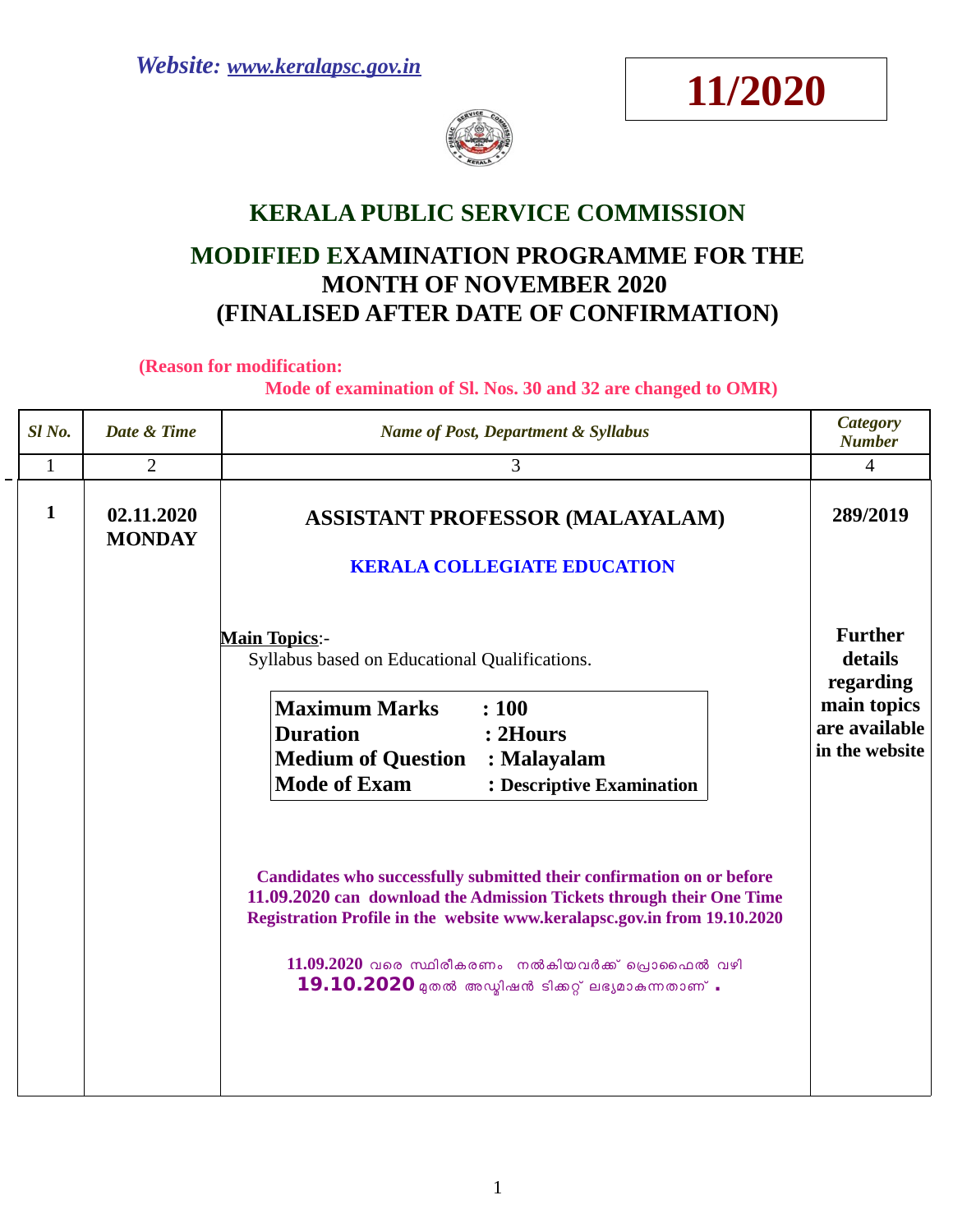



# **KERALA PUBLIC SERVICE COMMISSION**

# **MODIFIED EXAMINATION PROGRAMME FOR THE MONTH OF NOVEMBER 2020 (FINALISED AFTER DATE OF CONFIRMATION)**

**(Reason for modification:** 

 **Mode of examination of Sl. Nos. 30 and 32 are changed to OMR)**

| Sl <sub>No.</sub> | Date & Time                 | <b>Name of Post, Department &amp; Syllabus</b>                                                                                                                                                                                                                                                                                          | <b>Category</b><br><b>Number</b>                                                         |
|-------------------|-----------------------------|-----------------------------------------------------------------------------------------------------------------------------------------------------------------------------------------------------------------------------------------------------------------------------------------------------------------------------------------|------------------------------------------------------------------------------------------|
| $\mathbf{1}$      | $\overline{2}$              | 3                                                                                                                                                                                                                                                                                                                                       | $\overline{4}$                                                                           |
| $\mathbf{1}$      | 02.11.2020<br><b>MONDAY</b> | <b>ASSISTANT PROFESSOR (MALAYALAM)</b><br><b>KERALA COLLEGIATE EDUCATION</b>                                                                                                                                                                                                                                                            | 289/2019                                                                                 |
|                   |                             | <b>Main Topics:-</b><br>Syllabus based on Educational Qualifications.<br><b>Maximum Marks</b><br>: 100<br><b>Duration</b><br>$: 2$ Hours<br><b>Medium of Question</b><br>: Malayalam<br><b>Mode of Exam</b><br>: Descriptive Examination                                                                                                | <b>Further</b><br>details<br>regarding<br>main topics<br>are available<br>in the website |
|                   |                             | Candidates who successfully submitted their confirmation on or before<br>11.09.2020 can download the Admission Tickets through their One Time<br>Registration Profile in the website www.keralapsc.gov.in from 19.10.2020<br>$11.09.2020$ വരെ സ്ഥിരീകരണം നൽകിയവർക്ക് പ്രൊഫൈൽ വഴി<br>$19.10.2020$ മുതൽ അഡ്മിഷൻ ടിക്കറ്റ് ലഭ്യമാകന്നതാണ്. |                                                                                          |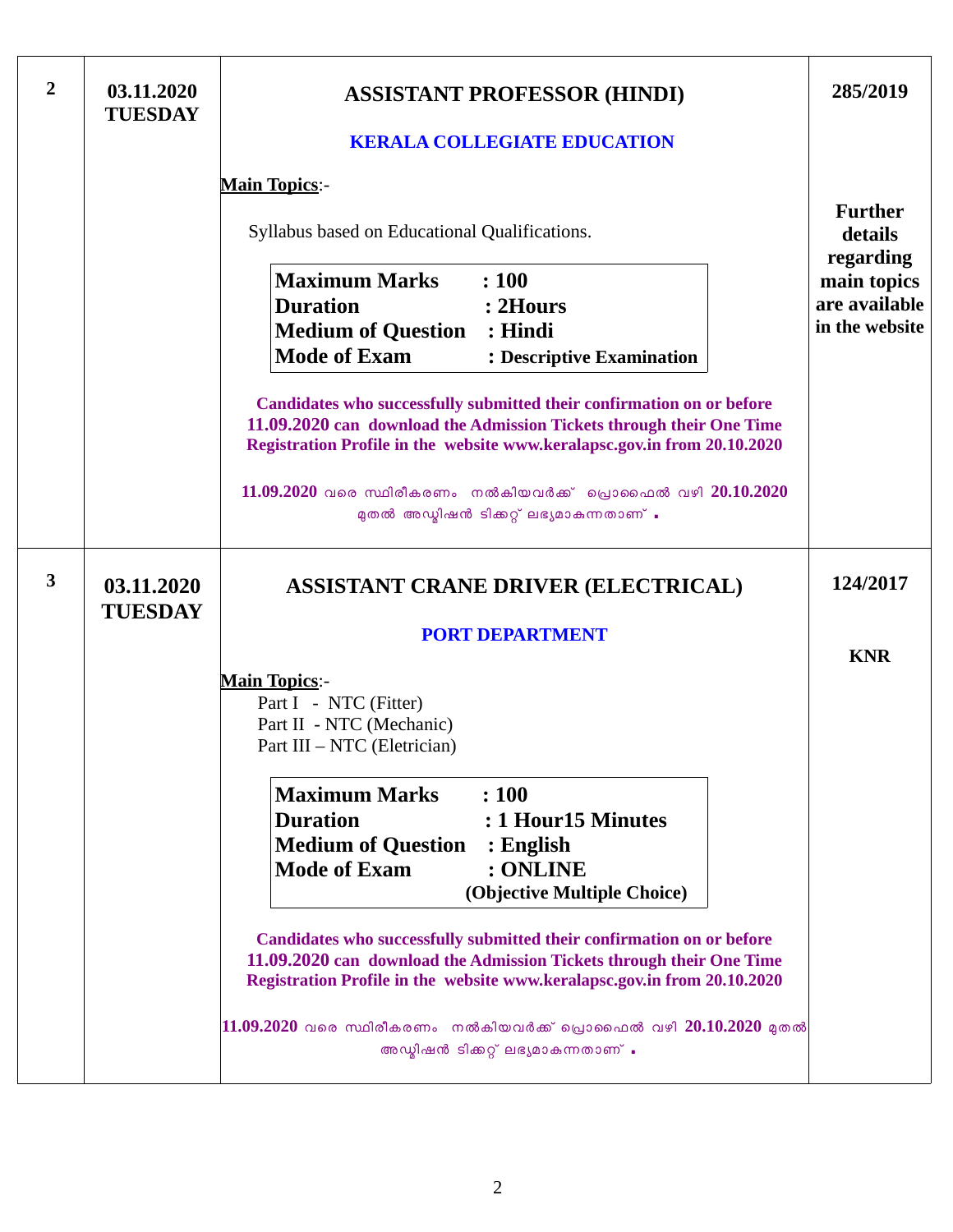| $\overline{2}$ | 03.11.2020<br><b>TUESDAY</b> | <b>ASSISTANT PROFESSOR (HINDI)</b><br><b>KERALA COLLEGIATE EDUCATION</b>                                                                                                                                                  | 285/2019                                       |  |
|----------------|------------------------------|---------------------------------------------------------------------------------------------------------------------------------------------------------------------------------------------------------------------------|------------------------------------------------|--|
|                |                              |                                                                                                                                                                                                                           |                                                |  |
|                |                              | <b>Main Topics:-</b>                                                                                                                                                                                                      | <b>Further</b>                                 |  |
|                |                              | Syllabus based on Educational Qualifications.                                                                                                                                                                             | details<br>regarding                           |  |
|                |                              | <b>Maximum Marks</b><br>: 100<br><b>Duration</b><br>: 2Hours<br><b>Medium of Question : Hindi</b><br><b>Mode of Exam</b><br>: Descriptive Examination                                                                     | main topics<br>are available<br>in the website |  |
|                |                              | Candidates who successfully submitted their confirmation on or before<br>11.09.2020 can download the Admission Tickets through their One Time<br>Registration Profile in the website www.keralapsc.gov.in from 20.10.2020 |                                                |  |
|                |                              | $11.09.2020$ വരെ സ്ഥിരീകരണം നൽകിയവർക്ക് പ്രൊഫൈൽ വഴി $20.10.2020$<br>മുതൽ അഡ്മിഷൻ ടിക്കറ്റ് ലഭ്യമാകുന്നതാണ് .                                                                                                              |                                                |  |
| 3              | 03.11.2020<br><b>TUESDAY</b> | <b>ASSISTANT CRANE DRIVER (ELECTRICAL)</b>                                                                                                                                                                                | 124/2017                                       |  |
|                |                              | <b>PORT DEPARTMENT</b>                                                                                                                                                                                                    | <b>KNR</b>                                     |  |
|                |                              | <b>Main Topics:-</b><br>Part I - NTC (Fitter)<br>Part II - NTC (Mechanic)<br>Part III - NTC (Eletrician)                                                                                                                  |                                                |  |
|                |                              | <b>Maximum Marks</b><br>: 100<br><b>Duration</b><br>: 1 Hour 15 Minutes<br><b>Medium of Question</b><br>$:$ English<br><b>Mode of Exam</b><br>: ONLINE<br>(Objective Multiple Choice)                                     |                                                |  |
|                |                              | Candidates who successfully submitted their confirmation on or before<br>11.09.2020 can download the Admission Tickets through their One Time<br>Registration Profile in the website www.keralapsc.gov.in from 20.10.2020 |                                                |  |
|                |                              | $ 11.09.2020$ വരെ സ്ഥിരീകരണം  നൽകിയവർക്ക് പ്രൊഫൈൽ വഴി $20.10.2020$ മുതൽ<br>അഡ്മിഷൻ ടിക്കറ്റ് ലഭ്യമാകുന്നതാണ് .                                                                                                            |                                                |  |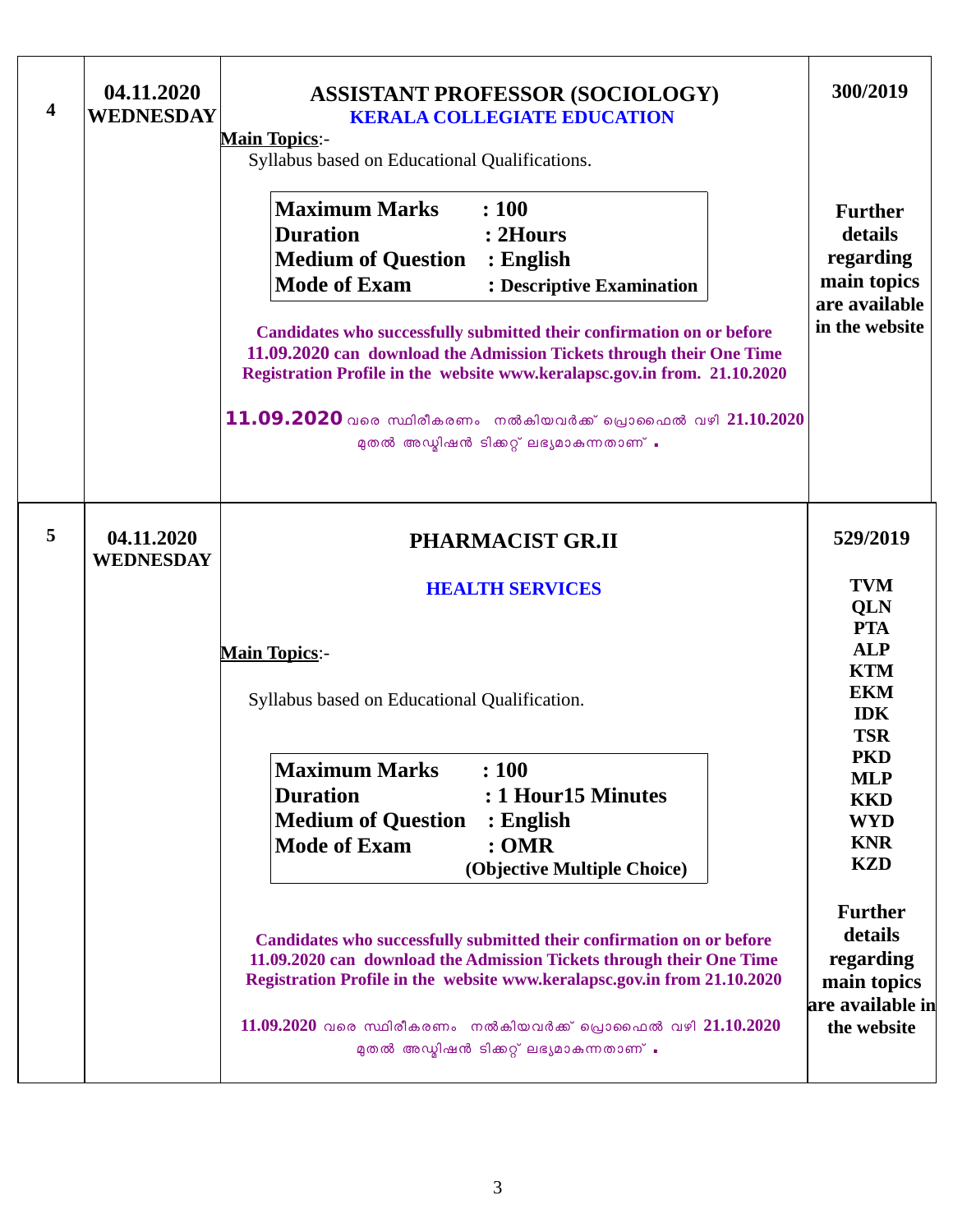| 4 | 04.11.2020<br><b>WEDNESDAY</b> | <b>ASSISTANT PROFESSOR (SOCIOLOGY)</b><br><b>KERALA COLLEGIATE EDUCATION</b><br><b>Main Topics:-</b><br>Syllabus based on Educational Qualifications.<br><b>Maximum Marks</b><br>: 100<br><b>Duration</b><br>: 2Hours<br><b>Medium of Question</b><br>: English<br><b>Mode of Exam</b><br>: Descriptive Examination<br>Candidates who successfully submitted their confirmation on or before<br>11.09.2020 can download the Admission Tickets through their One Time<br>Registration Profile in the website www.keralapsc.gov.in from. 21.10.2020<br>11.09.2020 വരെ സ്ഥിരീകരണം നൽകിയവർക്ക് പ്രൊഫൈൽ വഴി 21.10.2020<br>മുതൽ അഡ്മിഷൻ ടിക്കറ്റ് ലഭ്യമാകുന്നതാണ് .      | 300/2019<br><b>Further</b><br>details<br>regarding<br>main topics<br>are available<br>in the website                                                                                                                                                                                              |
|---|--------------------------------|--------------------------------------------------------------------------------------------------------------------------------------------------------------------------------------------------------------------------------------------------------------------------------------------------------------------------------------------------------------------------------------------------------------------------------------------------------------------------------------------------------------------------------------------------------------------------------------------------------------------------------------------------------------------|---------------------------------------------------------------------------------------------------------------------------------------------------------------------------------------------------------------------------------------------------------------------------------------------------|
| 5 | 04.11.2020<br><b>WEDNESDAY</b> | <b>PHARMACIST GR.II</b><br><b>HEALTH SERVICES</b><br><b>Main Topics:-</b><br>Syllabus based on Educational Qualification.<br><b>Maximum Marks</b><br>: 100<br><b>Duration</b><br>: 1 Hour15 Minutes<br><b>Medium of Question</b><br>$:$ English<br><b>Mode of Exam</b><br>: <b>OMR</b><br>(Objective Multiple Choice)<br>Candidates who successfully submitted their confirmation on or before<br>11.09.2020 can download the Admission Tickets through their One Time<br>Registration Profile in the website www.keralapsc.gov.in from 21.10.2020<br>$11.09.2020$ വരെ സ്ഥിരീകരണം നൽകിയവർക്ക് പ്രൊഫൈൽ വഴി $21.10.2020$<br>മുതൽ അഡ്മിഷൻ ടിക്കറ്റ് ലഭ്യമാകുന്നതാണ് . | 529/2019<br><b>TVM</b><br>QLN<br><b>PTA</b><br><b>ALP</b><br><b>KTM</b><br><b>EKM</b><br><b>IDK</b><br><b>TSR</b><br><b>PKD</b><br><b>MLP</b><br><b>KKD</b><br><b>WYD</b><br><b>KNR</b><br><b>KZD</b><br><b>Further</b><br>details<br>regarding<br>main topics<br>are available in<br>the website |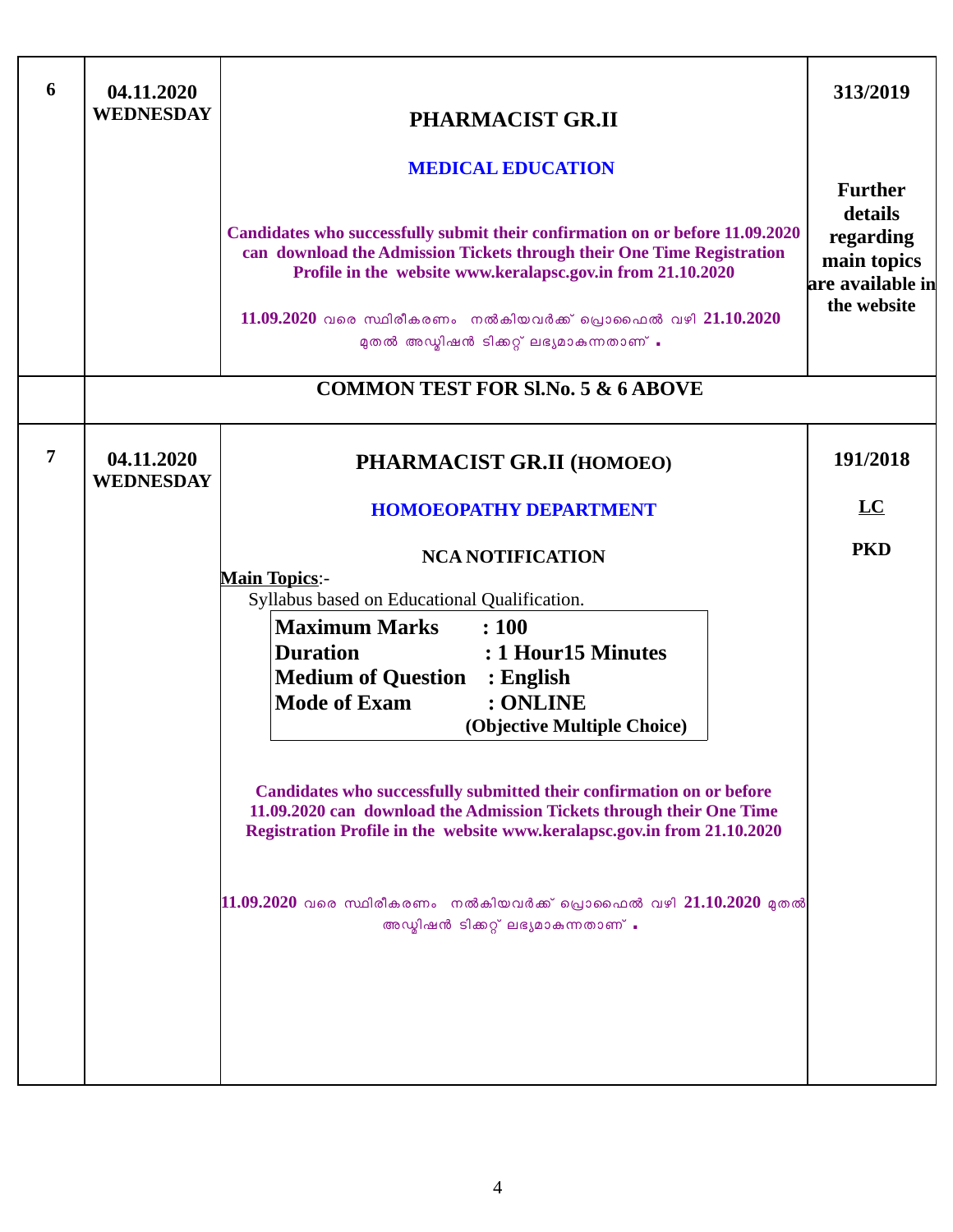| 6<br>04.11.2020<br><b>WEDNESDAY</b> | PHARMACIST GR.II<br><b>MEDICAL EDUCATION</b><br>Candidates who successfully submit their confirmation on or before 11.09.2020<br>can download the Admission Tickets through their One Time Registration<br>Profile in the website www.keralapsc.gov.in from 21.10.2020<br>$11.09.2020$ വരെ സ്ഥിരീകരണം നൽകിയവർക്ക് പ്രൊഫൈൽ വഴി $21.10.2020$<br>മുതൽ അഡ്മിഷൻ ടിക്കറ്റ് ലഭ്യമാകുന്നതാണ് .<br><b>COMMON TEST FOR SI.No. 5 &amp; 6 ABOVE</b>                                                                                                                                                                                                                                                              | 313/2019<br><b>Further</b><br>details<br>regarding<br>main topics<br>are available in<br>the website |
|-------------------------------------|------------------------------------------------------------------------------------------------------------------------------------------------------------------------------------------------------------------------------------------------------------------------------------------------------------------------------------------------------------------------------------------------------------------------------------------------------------------------------------------------------------------------------------------------------------------------------------------------------------------------------------------------------------------------------------------------------|------------------------------------------------------------------------------------------------------|
|                                     |                                                                                                                                                                                                                                                                                                                                                                                                                                                                                                                                                                                                                                                                                                      |                                                                                                      |
| 7<br>04.11.2020<br><b>WEDNESDAY</b> | PHARMACIST GR.II (HOMOEO)<br><b>HOMOEOPATHY DEPARTMENT</b><br><b>NCA NOTIFICATION</b><br><b>Main Topics:-</b><br>Syllabus based on Educational Qualification.<br><b>Maximum Marks</b><br>: 100<br><b>Duration</b><br>: 1 Hour15 Minutes<br><b>Medium of Question : English</b><br><b>Mode of Exam</b><br>: ONLINE<br>(Objective Multiple Choice)<br>Candidates who successfully submitted their confirmation on or before<br>11.09.2020 can download the Admission Tickets through their One Time<br>Registration Profile in the website www.keralapsc.gov.in from 21.10.2020<br>$\ket{11.09.2020}$ വരെ സ്ഥിരീകരണം  നൽകിയവർക്ക് പ്രൊഫൈൽ വഴി $21.10.2020$ മുതൽ<br>അഡ്മിഷൻ ടിക്കറ്റ് ലഭ്യമാകുന്നതാണ് . | 191/2018<br>$\overline{\text{LC}}$<br><b>PKD</b>                                                     |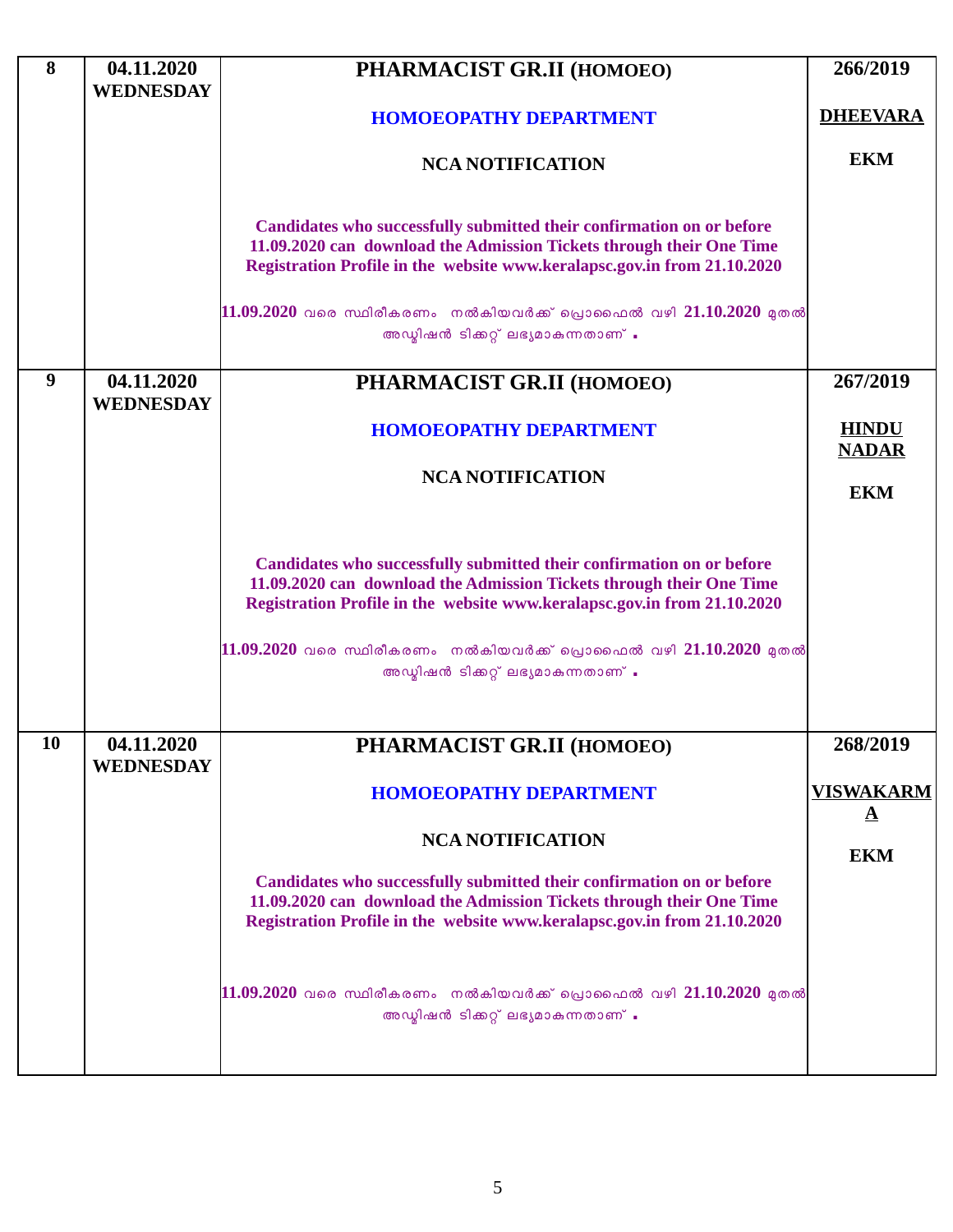| 8  | 04.11.2020                     | PHARMACIST GR.II (HOMOEO)                                                                                                                     | 266/2019          |
|----|--------------------------------|-----------------------------------------------------------------------------------------------------------------------------------------------|-------------------|
|    | <b>WEDNESDAY</b>               |                                                                                                                                               |                   |
|    |                                | <b>HOMOEOPATHY DEPARTMENT</b>                                                                                                                 | <b>DHEEVARA</b>   |
|    |                                | <b>NCA NOTIFICATION</b>                                                                                                                       | <b>EKM</b>        |
|    |                                |                                                                                                                                               |                   |
|    |                                |                                                                                                                                               |                   |
|    |                                | Candidates who successfully submitted their confirmation on or before<br>11.09.2020 can download the Admission Tickets through their One Time |                   |
|    |                                | Registration Profile in the website www.keralapsc.gov.in from 21.10.2020                                                                      |                   |
|    |                                |                                                                                                                                               |                   |
|    |                                | $11.09.2020$ വരെ സ്ഥിരീകരണം നൽകിയവർക്ക് പ്രൊഫൈൽ വഴി 21.10.2020 മുതൽ                                                                           |                   |
|    |                                | അഡ്മിഷൻ ടിക്കറ്റ് ലഭ്യമാകുന്നതാണ് .                                                                                                           |                   |
|    |                                |                                                                                                                                               |                   |
| 9  | 04.11.2020<br><b>WEDNESDAY</b> | PHARMACIST GR.II (HOMOEO)                                                                                                                     | 267/2019          |
|    |                                |                                                                                                                                               | <b>HINDU</b>      |
|    |                                | <b>HOMOEOPATHY DEPARTMENT</b>                                                                                                                 | <b>NADAR</b>      |
|    |                                | <b>NCA NOTIFICATION</b>                                                                                                                       |                   |
|    |                                |                                                                                                                                               | <b>EKM</b>        |
|    |                                |                                                                                                                                               |                   |
|    |                                |                                                                                                                                               |                   |
|    |                                | Candidates who successfully submitted their confirmation on or before<br>11.09.2020 can download the Admission Tickets through their One Time |                   |
|    |                                | Registration Profile in the website www.keralapsc.gov.in from 21.10.2020                                                                      |                   |
|    |                                |                                                                                                                                               |                   |
|    |                                | $11.09.2020$ വരെ സ്ഥിരീകരണം നൽകിയവർക്ക് പ്രൊഫൈൽ വഴി 21.10.2020 മുതൽ                                                                           |                   |
|    |                                | അഡ്മിഷൻ ടിക്കറ്റ് ലഭ്യമാകുന്നതാണ് .                                                                                                           |                   |
|    |                                |                                                                                                                                               |                   |
| 10 | 04.11.2020                     | PHARMACIST GR.II (HOMOEO)                                                                                                                     | 268/2019          |
|    | <b>WEDNESDAY</b>               |                                                                                                                                               |                   |
|    |                                | <b>HOMOEOPATHY DEPARTMENT</b>                                                                                                                 | <b>VISWAKARM</b>  |
|    |                                |                                                                                                                                               | $\mathbf{\Delta}$ |
|    |                                | <b>NCA NOTIFICATION</b>                                                                                                                       |                   |
|    |                                |                                                                                                                                               | <b>EKM</b>        |
|    |                                | Candidates who successfully submitted their confirmation on or before<br>11.09.2020 can download the Admission Tickets through their One Time |                   |
|    |                                | Registration Profile in the website www.keralapsc.gov.in from 21.10.2020                                                                      |                   |
|    |                                |                                                                                                                                               |                   |
|    |                                |                                                                                                                                               |                   |
|    |                                | $11.09.2020$ വരെ സ്ഥിരീകരണം നൽകിയവർക്ക് പ്രൊഫൈൽ വഴി 21.10.2020 മുതൽ                                                                           |                   |
|    |                                | അഡ്മിഷൻ ടിക്കറ്റ് ലഭ്യമാകുന്നതാണ് .                                                                                                           |                   |
|    |                                |                                                                                                                                               |                   |
|    |                                |                                                                                                                                               |                   |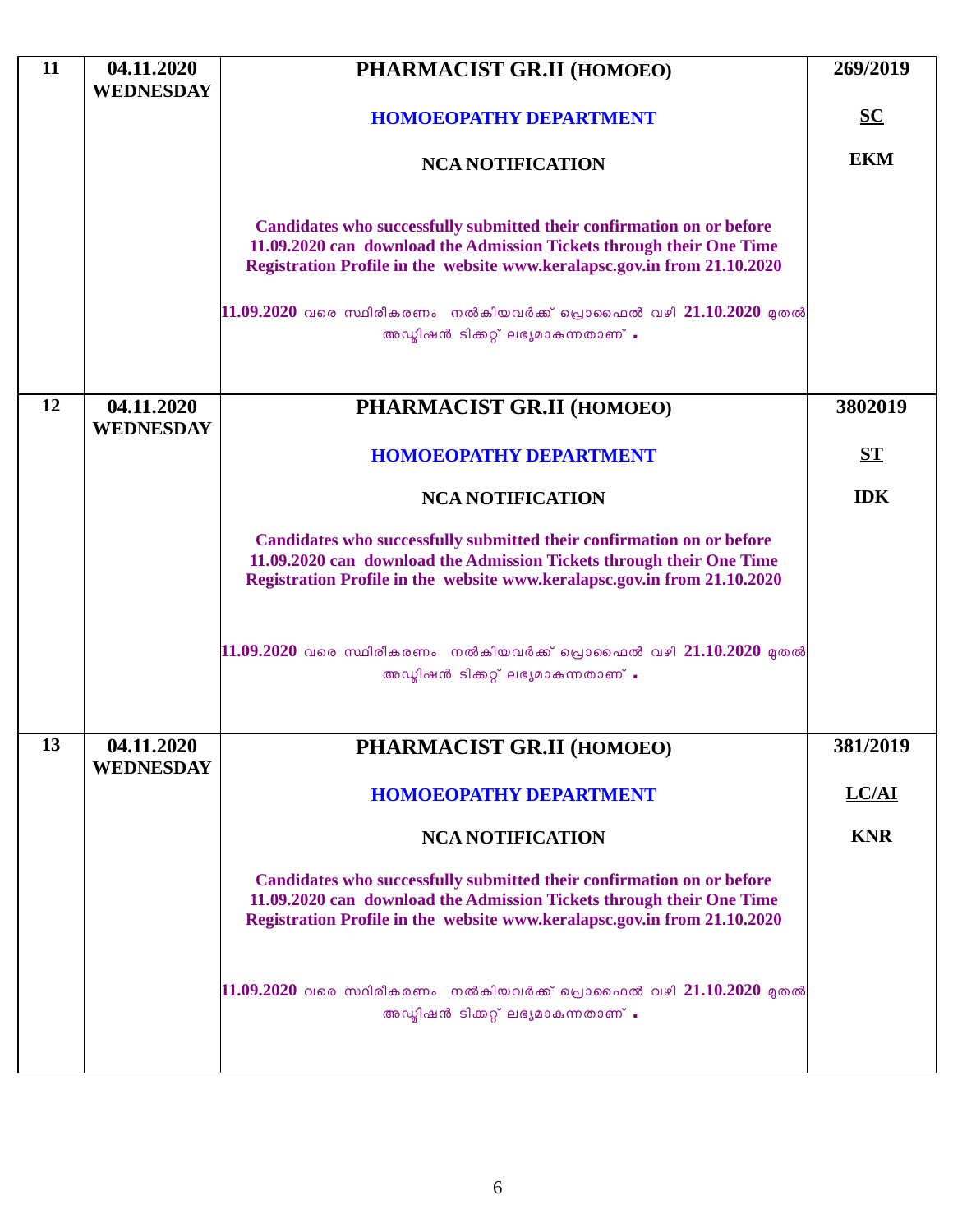| 11 | 04.11.2020<br><b>WEDNESDAY</b> | PHARMACIST GR.II (HOMOEO)                                                                                                                                                                                                                                                                                                               | 269/2019         |
|----|--------------------------------|-----------------------------------------------------------------------------------------------------------------------------------------------------------------------------------------------------------------------------------------------------------------------------------------------------------------------------------------|------------------|
|    |                                | <b>HOMOEOPATHY DEPARTMENT</b>                                                                                                                                                                                                                                                                                                           | $S$              |
|    |                                | <b>NCA NOTIFICATION</b>                                                                                                                                                                                                                                                                                                                 | <b>EKM</b>       |
|    |                                | Candidates who successfully submitted their confirmation on or before<br>11.09.2020 can download the Admission Tickets through their One Time<br>Registration Profile in the website www.keralapsc.gov.in from 21.10.2020<br>$11.09.2020$ വരെ സ്ഥിരീകരണം നൽകിയവർക്ക് പ്രൊഫൈൽ വഴി 21.10.2020 മുതൽ<br>അഡ്മിഷൻ ടിക്കറ്റ് ലഭ്യമാകുന്നതാണ് . |                  |
| 12 | 04.11.2020<br><b>WEDNESDAY</b> | PHARMACIST GR.II (HOMOEO)                                                                                                                                                                                                                                                                                                               | 3802019          |
|    |                                | <b>HOMOEOPATHY DEPARTMENT</b>                                                                                                                                                                                                                                                                                                           | $S_{\mathbf{T}}$ |
|    |                                | <b>NCA NOTIFICATION</b>                                                                                                                                                                                                                                                                                                                 | <b>IDK</b>       |
|    |                                | Candidates who successfully submitted their confirmation on or before<br>11.09.2020 can download the Admission Tickets through their One Time<br>Registration Profile in the website www.keralapsc.gov.in from 21.10.2020                                                                                                               |                  |
|    |                                | $11.09.2020$ വരെ സ്ഥിരീകരണം നൽകിയവർക്ക് പ്രൊഫൈൽ വഴി $21.10.2020$ മുതൽ<br>അഡ്യിഷൻ ടിക്കറ്റ് ലഭ്യമാകുന്നതാണ് .                                                                                                                                                                                                                            |                  |
| 13 | 04.11.2020<br><b>WEDNESDAY</b> | PHARMACIST GR.II (HOMOEO)                                                                                                                                                                                                                                                                                                               | 381/2019         |
|    |                                | <b>HOMOEOPATHY DEPARTMENT</b>                                                                                                                                                                                                                                                                                                           | LC/AI            |
|    |                                | <b>NCA NOTIFICATION</b>                                                                                                                                                                                                                                                                                                                 | <b>KNR</b>       |
|    |                                | Candidates who successfully submitted their confirmation on or before<br>11.09.2020 can download the Admission Tickets through their One Time<br>Registration Profile in the website www.keralapsc.gov.in from 21.10.2020                                                                                                               |                  |
|    |                                | $11.09.2020$ വരെ സ്ഥിരീകരണം നൽകിയവർക്ക് പ്രൊഫൈൽ വഴി $21.10.2020$ മുതൽ<br>അഡ്മിഷൻ ടിക്കറ്റ് ലഭ്യമാകുന്നതാണ് .                                                                                                                                                                                                                            |                  |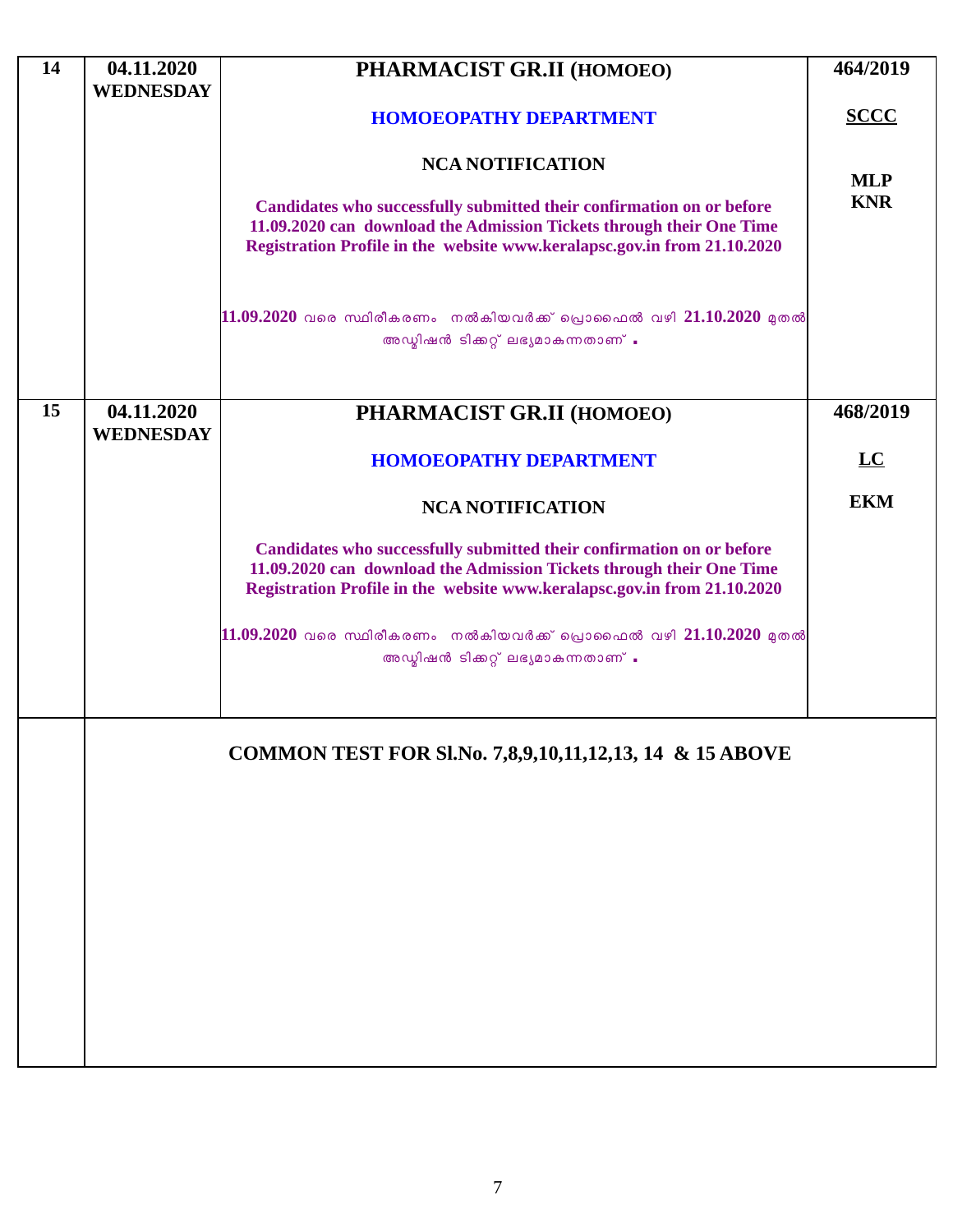| 14 | 04.11.2020                     | PHARMACIST GR.II (HOMOEO)                                                                                                                                                                                                 | 464/2019    |
|----|--------------------------------|---------------------------------------------------------------------------------------------------------------------------------------------------------------------------------------------------------------------------|-------------|
|    | <b>WEDNESDAY</b>               | <b>HOMOEOPATHY DEPARTMENT</b>                                                                                                                                                                                             | <b>SCCC</b> |
|    |                                | <b>NCA NOTIFICATION</b>                                                                                                                                                                                                   | <b>MLP</b>  |
|    |                                | Candidates who successfully submitted their confirmation on or before<br>11.09.2020 can download the Admission Tickets through their One Time<br>Registration Profile in the website www.keralapsc.gov.in from 21.10.2020 | <b>KNR</b>  |
|    |                                | $11.09.2020$ വരെ സ്ഥിരീകരണം നൽകിയവർക്ക് പ്രൊഫൈൽ വഴി 21.10.2020 മുതൽ<br>അഡ്മിഷൻ ടിക്കറ്റ് ലഭ്യമാകുന്നതാണ് .                                                                                                                |             |
| 15 | 04.11.2020<br><b>WEDNESDAY</b> | PHARMACIST GR.II (HOMOEO)                                                                                                                                                                                                 | 468/2019    |
|    |                                | <b>HOMOEOPATHY DEPARTMENT</b>                                                                                                                                                                                             | LC          |
|    |                                | <b>NCA NOTIFICATION</b>                                                                                                                                                                                                   | <b>EKM</b>  |
|    |                                | Candidates who successfully submitted their confirmation on or before<br>11.09.2020 can download the Admission Tickets through their One Time<br>Registration Profile in the website www.keralapsc.gov.in from 21.10.2020 |             |
|    |                                | $11.09.2020$ വരെ സ്ഥിരീകരണം നൽകിയവർക്ക് പ്രൊഫൈൽ വഴി 21.10.2020 മുതൽ<br>അഡ്മിഷൻ ടിക്കറ്റ് ലഭ്യമാകുന്നതാണ് .                                                                                                                |             |
|    |                                | COMMON TEST FOR SI.No. 7,8,9,10,11,12,13, 14 & 15 ABOVE                                                                                                                                                                   |             |
|    |                                |                                                                                                                                                                                                                           |             |
|    |                                |                                                                                                                                                                                                                           |             |
|    |                                |                                                                                                                                                                                                                           |             |
|    |                                |                                                                                                                                                                                                                           |             |
|    |                                |                                                                                                                                                                                                                           |             |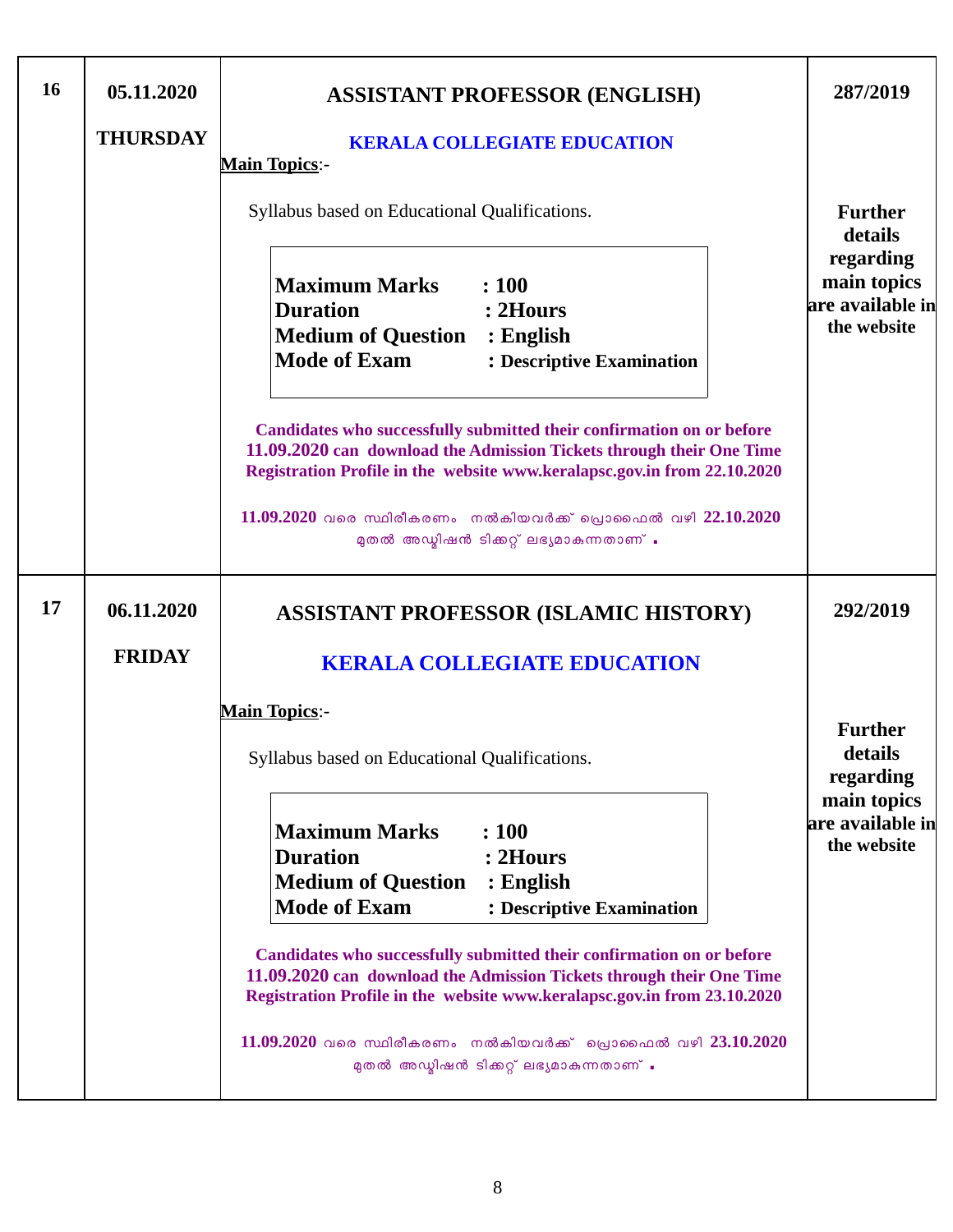| 16 | 05.11.2020      | <b>ASSISTANT PROFESSOR (ENGLISH)</b>                                                                                                                                                                                      | 287/2019                                                    |
|----|-----------------|---------------------------------------------------------------------------------------------------------------------------------------------------------------------------------------------------------------------------|-------------------------------------------------------------|
|    | <b>THURSDAY</b> | <b>KERALA COLLEGIATE EDUCATION</b><br><b>Main Topics:-</b>                                                                                                                                                                |                                                             |
|    |                 | Syllabus based on Educational Qualifications.                                                                                                                                                                             | <b>Further</b><br>details                                   |
|    |                 | <b>Maximum Marks</b><br>: 100<br><b>Duration</b><br>: 2Hours<br><b>Medium of Question : English</b><br><b>Mode of Exam</b><br>: Descriptive Examination                                                                   | regarding<br>main topics<br>are available in<br>the website |
|    |                 | Candidates who successfully submitted their confirmation on or before<br>11.09.2020 can download the Admission Tickets through their One Time<br>Registration Profile in the website www.keralapsc.gov.in from 22.10.2020 |                                                             |
|    |                 | $11.09.2020$ വരെ സ്ഥിരീകരണം നൽകിയവർക്ക് പ്രൊഫൈൽ വഴി $22.10.2020$<br>മുതൽ അഡ്മിഷൻ ടിക്കറ്റ് ലഭ്യമാകുന്നതാണ് .                                                                                                              |                                                             |
| 17 | 06.11.2020      | <b>ASSISTANT PROFESSOR (ISLAMIC HISTORY)</b>                                                                                                                                                                              | 292/2019                                                    |
|    | <b>FRIDAY</b>   | <b>KERALA COLLEGIATE EDUCATION</b>                                                                                                                                                                                        |                                                             |
|    |                 | <b>Main Topics:-</b>                                                                                                                                                                                                      |                                                             |
|    |                 | Syllabus based on Educational Qualifications.                                                                                                                                                                             | <b>Further</b><br>details<br>regarding                      |
|    |                 | <b>Maximum Marks</b><br>: 100<br><b>Duration</b><br>: 2Hours<br><b>Medium of Question</b><br>$:$ English<br><b>Mode of Exam</b><br>: Descriptive Examination                                                              | main topics<br>are available in<br>the website              |
|    |                 | Candidates who successfully submitted their confirmation on or before<br>11.09.2020 can download the Admission Tickets through their One Time<br>Registration Profile in the website www.keralapsc.gov.in from 23.10.2020 |                                                             |
|    |                 | $11.09.2020$ വരെ സ്ഥിരീകരണം നൽകിയവർക്ക് പ്രൊഫൈൽ വഴി $23.10.2020$<br>മുതൽ അഡ്മിഷൻ ടിക്കറ്റ് ലഭ്യമാകുന്നതാണ് .                                                                                                              |                                                             |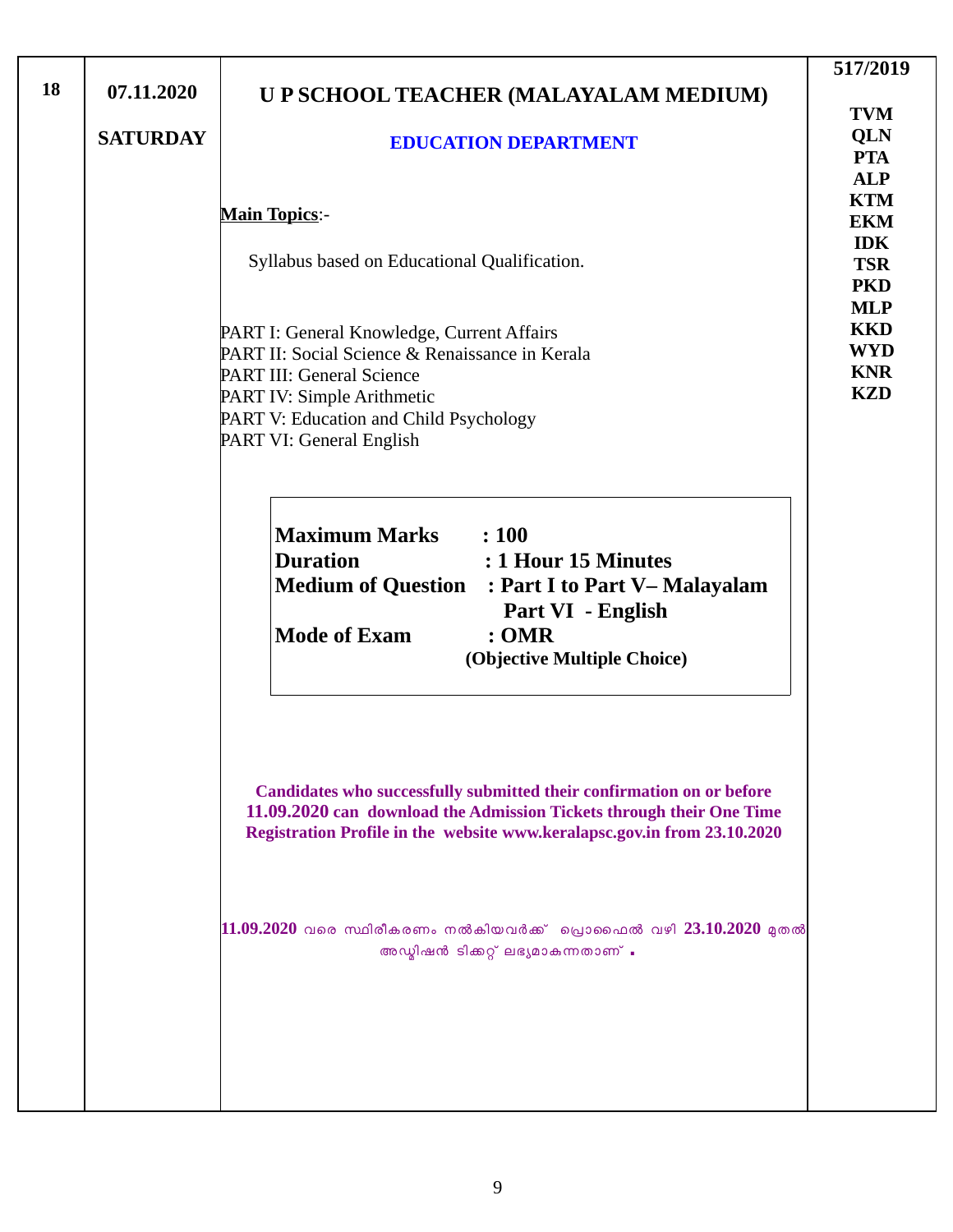| 18 | 07.11.2020<br><b>SATURDAY</b> | U P SCHOOL TEACHER (MALAYALAM MEDIUM)<br><b>EDUCATION DEPARTMENT</b>                                                                                                                                                           | 517/2019<br><b>TVM</b><br>QLN<br><b>PTA</b>                                                    |
|----|-------------------------------|--------------------------------------------------------------------------------------------------------------------------------------------------------------------------------------------------------------------------------|------------------------------------------------------------------------------------------------|
|    |                               | <b>Main Topics:-</b><br>Syllabus based on Educational Qualification.                                                                                                                                                           | <b>ALP</b><br><b>KTM</b><br><b>EKM</b><br><b>IDK</b><br><b>TSR</b><br><b>PKD</b><br><b>MLP</b> |
|    |                               | PART I: General Knowledge, Current Affairs<br>PART II: Social Science & Renaissance in Kerala<br>PART III: General Science<br>PART IV: Simple Arithmetic<br>PART V: Education and Child Psychology<br>PART VI: General English | <b>KKD</b><br><b>WYD</b><br><b>KNR</b><br><b>KZD</b>                                           |
|    |                               | <b>Maximum Marks</b> : 100<br><b>Duration</b><br>: 1 Hour 15 Minutes<br><b>Medium of Question</b><br>: Part I to Part V– Malayalam<br>Part VI - English<br><b>Mode of Exam</b><br>: <b>OMR</b><br>(Objective Multiple Choice)  |                                                                                                |
|    |                               | Candidates who successfully submitted their confirmation on or before<br>11.09.2020 can download the Admission Tickets through their One Time<br>Registration Profile in the website www.keralapsc.gov.in from 23.10.2020      |                                                                                                |
|    |                               | $11.09.2020$ വരെ സ്ഥിരീകരണം നൽകിയവർക്ക്  പ്രൊഫൈൽ വഴി 23.10.2020 മുതൽ<br>അഡ്മിഷൻ ടിക്കറ്റ് ലഭ്യമാകുന്നതാണ് .                                                                                                                    |                                                                                                |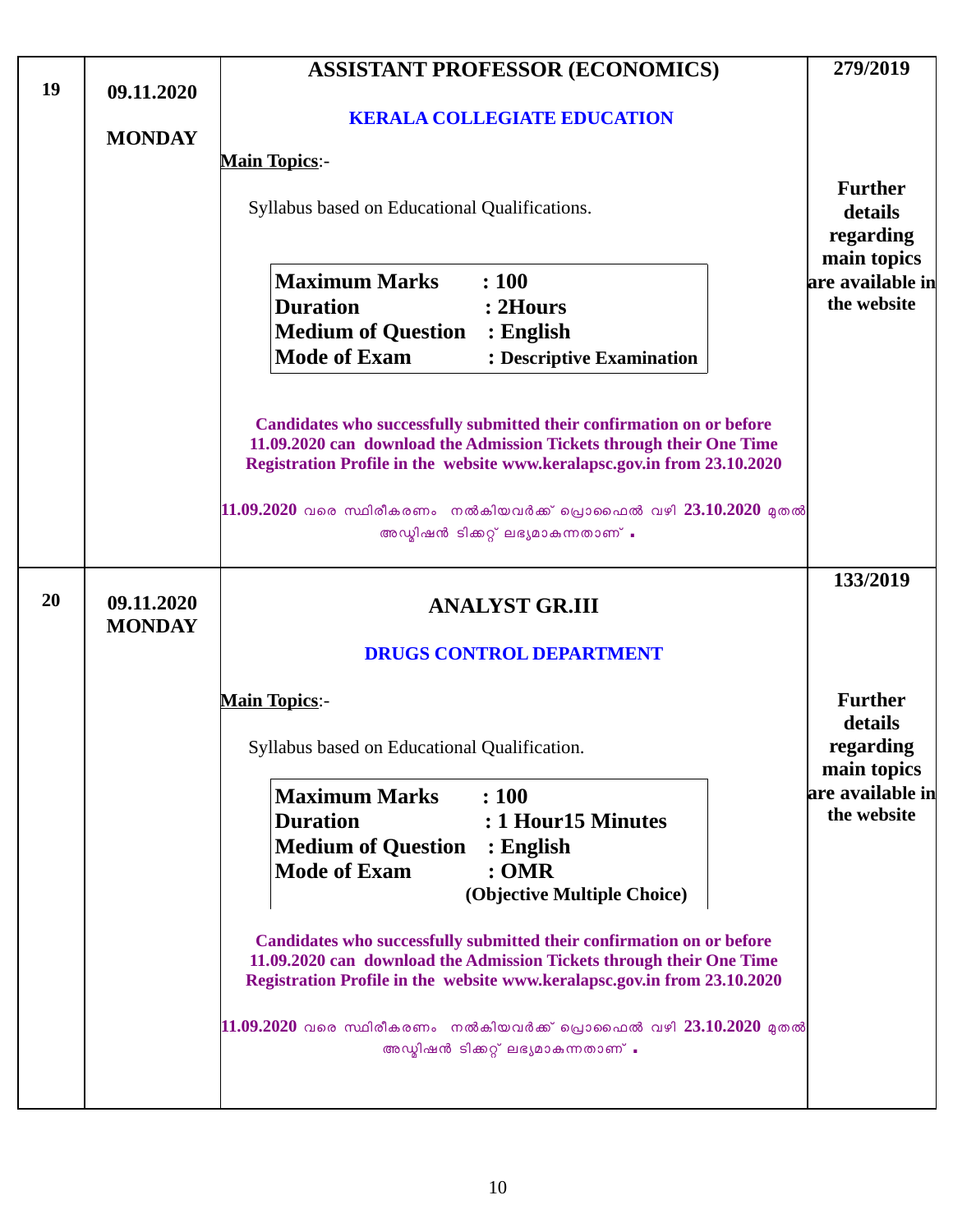|    |                             | <b>ASSISTANT PROFESSOR (ECONOMICS)</b>                                                                                                                                                                                                                                                             | 279/2019                                       |
|----|-----------------------------|----------------------------------------------------------------------------------------------------------------------------------------------------------------------------------------------------------------------------------------------------------------------------------------------------|------------------------------------------------|
| 19 | 09.11.2020<br><b>MONDAY</b> | <b>KERALA COLLEGIATE EDUCATION</b>                                                                                                                                                                                                                                                                 |                                                |
|    |                             | <b>Main Topics:-</b>                                                                                                                                                                                                                                                                               |                                                |
|    |                             | Syllabus based on Educational Qualifications.                                                                                                                                                                                                                                                      | <b>Further</b><br>details<br>regarding         |
|    |                             | <b>Maximum Marks</b><br>: 100<br><b>Duration</b><br>: 2Hours<br><b>Medium of Question</b><br>$:$ English<br><b>Mode of Exam</b><br>: Descriptive Examination                                                                                                                                       | main topics<br>are available in<br>the website |
|    |                             | Candidates who successfully submitted their confirmation on or before<br>11.09.2020 can download the Admission Tickets through their One Time<br>Registration Profile in the website www.keralapsc.gov.in from 23.10.2020<br>$11.09.2020$ വരെ സ്ഥിരീകരണം നൽകിയവർക്ക് പ്രൊഫൈൽ വഴി $23.10.2020$ മുതൽ |                                                |
|    |                             | അഡ്മിഷൻ ടിക്കറ്റ് ലഭ്യമാകുന്നതാണ് .                                                                                                                                                                                                                                                                |                                                |
| 20 | 09.11.2020<br><b>MONDAY</b> | <b>ANALYST GR.III</b><br><b>DRUGS CONTROL DEPARTMENT</b>                                                                                                                                                                                                                                           | 133/2019                                       |
|    |                             | <b>Main Topics:-</b>                                                                                                                                                                                                                                                                               | <b>Further</b>                                 |
|    |                             | Syllabus based on Educational Qualification.                                                                                                                                                                                                                                                       | details<br>regarding<br>main topics            |
|    |                             | <b>Maximum Marks</b><br>: 100<br><b>Duration</b><br>: 1 Hour 15 Minutes<br><b>Medium of Question</b><br>: English<br><b>Mode of Exam</b><br>:OMR<br>(Objective Multiple Choice)                                                                                                                    | are available in<br>the website                |
|    |                             | Candidates who successfully submitted their confirmation on or before<br>11.09.2020 can download the Admission Tickets through their One Time<br>Registration Profile in the website www.keralapsc.gov.in from 23.10.2020                                                                          |                                                |
|    |                             | $11.09.2020$ വരെ സ്ഥിരീകരണം നൽകിയവർക്ക് പ്രൊഫൈൽ വഴി $23.10.2020$ മുതൽ<br>അഡ്മിഷൻ ടിക്കറ്റ് ലഭ്യമാകുന്നതാണ് .                                                                                                                                                                                       |                                                |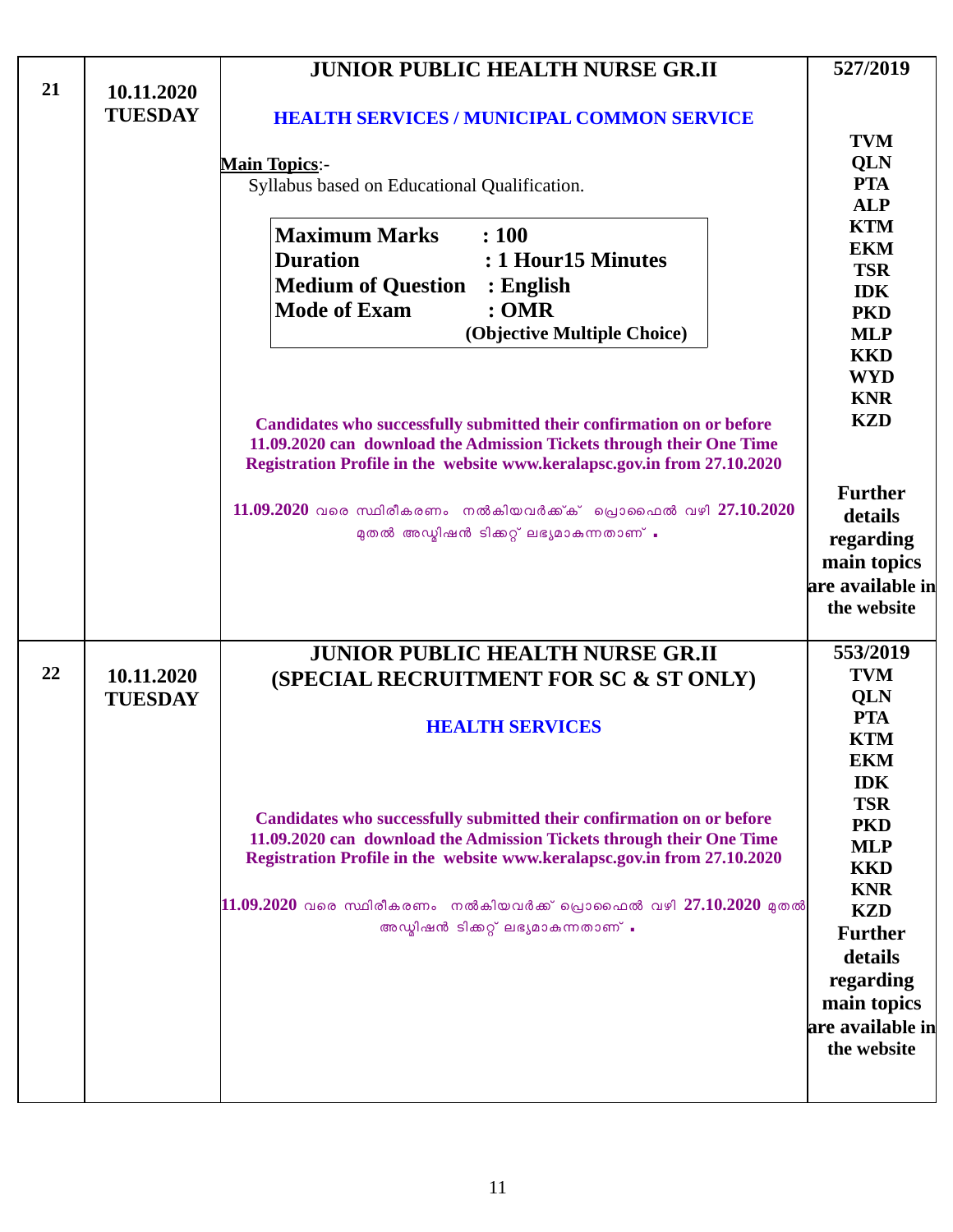|    |                              | <b>JUNIOR PUBLIC HEALTH NURSE GR.II</b>                                                                                                                                                                                   | 527/2019                                                           |
|----|------------------------------|---------------------------------------------------------------------------------------------------------------------------------------------------------------------------------------------------------------------------|--------------------------------------------------------------------|
| 21 | 10.11.2020<br><b>TUESDAY</b> | <b>HEALTH SERVICES / MUNICIPAL COMMON SERVICE</b>                                                                                                                                                                         | <b>TVM</b>                                                         |
|    |                              | <b>Main Topics:-</b><br>Syllabus based on Educational Qualification.                                                                                                                                                      | QLN<br><b>PTA</b><br><b>ALP</b>                                    |
|    |                              | <b>Maximum Marks</b><br>: 100<br><b>Duration</b><br>: 1 Hour15 Minutes<br><b>Medium of Question : English</b>                                                                                                             | <b>KTM</b><br><b>EKM</b><br><b>TSR</b><br><b>IDK</b>               |
|    |                              | <b>Mode of Exam</b><br>:OMR<br>(Objective Multiple Choice)                                                                                                                                                                | <b>PKD</b><br><b>MLP</b><br><b>KKD</b><br><b>WYD</b>               |
|    |                              | Candidates who successfully submitted their confirmation on or before<br>11.09.2020 can download the Admission Tickets through their One Time<br>Registration Profile in the website www.keralapsc.gov.in from 27.10.2020 | <b>KNR</b><br><b>KZD</b>                                           |
|    |                              | $11.09.2020$ വരെ സ്ഥിരീകരണം നൽകിയവർക്ക് പ്രൊഫൈൽ വഴി 27.10.2020<br>മുതൽ അഡ്മിഷൻ ടിക്കറ്റ് ലഭ്യമാകുന്നതാണ് .                                                                                                                | <b>Further</b><br>details<br>regarding                             |
|    |                              |                                                                                                                                                                                                                           | main topics<br>are available in<br>the website                     |
| 22 | 10.11.2020<br><b>TUESDAY</b> | <b>JUNIOR PUBLIC HEALTH NURSE GR.II</b><br>(SPECIAL RECRUITMENT FOR SC & ST ONLY)                                                                                                                                         | 553/2019<br><b>TVM</b><br>QLN                                      |
|    |                              | <b>HEALTH SERVICES</b>                                                                                                                                                                                                    | <b>PTA</b><br><b>KTM</b><br><b>EKM</b><br><b>IDK</b>               |
|    |                              | Candidates who successfully submitted their confirmation on or before<br>11.09.2020 can download the Admission Tickets through their One Time<br>Registration Profile in the website www.keralapsc.gov.in from 27.10.2020 | <b>TSR</b><br><b>PKD</b><br><b>MLP</b><br><b>KKD</b>               |
|    |                              | $\ket{11.09.2020}$ വരെ സ്ഥിരീകരണം  നൽകിയവർക്ക് പ്രൊഫൈൽ വഴി $27.10.2020$ മുതൽ<br>അഡ്മിഷൻ ടിക്കറ്റ് ലഭ്യമാകുന്നതാണ് .                                                                                                       | <b>KNR</b><br><b>KZD</b><br><b>Further</b><br>details<br>regarding |
|    |                              |                                                                                                                                                                                                                           | main topics<br>are available in<br>the website                     |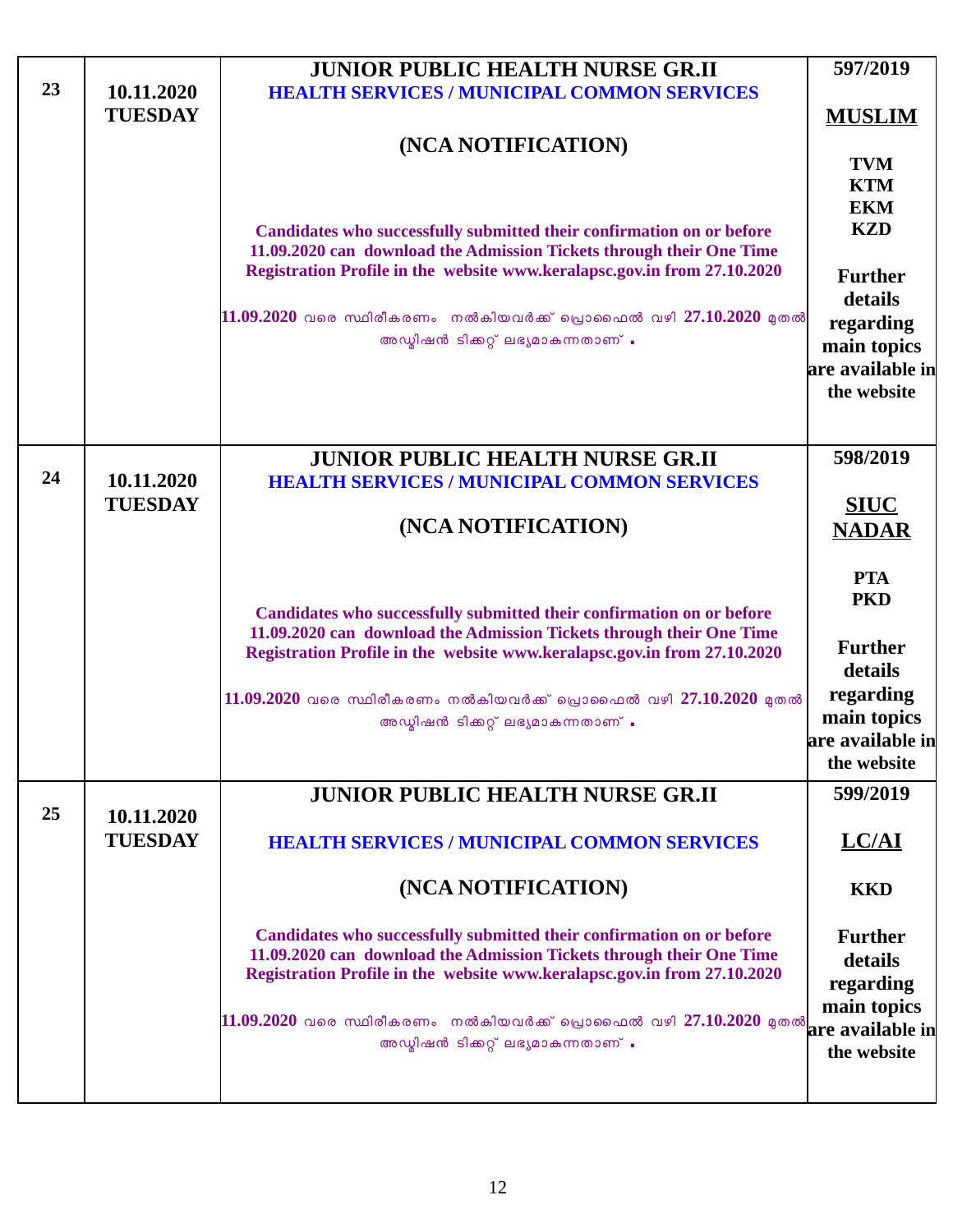|    |                | <b>JUNIOR PUBLIC HEALTH NURSE GR.II</b>                                                                                                          | 597/2019                        |
|----|----------------|--------------------------------------------------------------------------------------------------------------------------------------------------|---------------------------------|
| 23 | 10.11.2020     | <b>HEALTH SERVICES / MUNICIPAL COMMON SERVICES</b>                                                                                               |                                 |
|    | <b>TUESDAY</b> |                                                                                                                                                  | <b>MUSLIM</b>                   |
|    |                | (NCA NOTIFICATION)                                                                                                                               | <b>TVM</b>                      |
|    |                |                                                                                                                                                  | <b>KTM</b>                      |
|    |                |                                                                                                                                                  | <b>EKM</b>                      |
|    |                | Candidates who successfully submitted their confirmation on or before                                                                            | <b>KZD</b>                      |
|    |                | 11.09.2020 can download the Admission Tickets through their One Time<br>Registration Profile in the website www.keralapsc.gov.in from 27.10.2020 |                                 |
|    |                |                                                                                                                                                  | <b>Further</b><br>details       |
|    |                | $11.09.2020$ വരെ സ്ഥിരീകരണം നൽകിയവർക്ക് പ്രൊഫൈൽ വഴി 27.10.2020 മുതൽ                                                                              | regarding                       |
|    |                | അഡ്മിഷൻ ടിക്കറ്റ് ലഭ്യമാകുന്നതാണ് .                                                                                                              | main topics                     |
|    |                |                                                                                                                                                  | are available in                |
|    |                |                                                                                                                                                  | the website                     |
|    |                |                                                                                                                                                  |                                 |
|    |                | <b>JUNIOR PUBLIC HEALTH NURSE GR.II</b>                                                                                                          | 598/2019                        |
| 24 | 10.11.2020     | <b>HEALTH SERVICES / MUNICIPAL COMMON SERVICES</b>                                                                                               |                                 |
|    | <b>TUESDAY</b> |                                                                                                                                                  | <b>SIUC</b>                     |
|    |                | (NCA NOTIFICATION)                                                                                                                               | <b>NADAR</b>                    |
|    |                |                                                                                                                                                  |                                 |
|    |                |                                                                                                                                                  | <b>PTA</b><br><b>PKD</b>        |
|    |                | Candidates who successfully submitted their confirmation on or before                                                                            |                                 |
|    |                | 11.09.2020 can download the Admission Tickets through their One Time<br>Registration Profile in the website www.keralapsc.gov.in from 27.10.2020 | <b>Further</b>                  |
|    |                |                                                                                                                                                  | details                         |
|    |                | 11.09.2020 വരെ സ്ഥിരീകരണം നൽകിയവർക്ക് പ്രൊഫൈൽ വഴി 27.10.2020 മുതൽ                                                                                | regarding                       |
|    |                | അഡ്വിഷൻ ടിക്കറ്റ് ലഭ്യമാകുന്നതാണ് .                                                                                                              | main topics<br>are available in |
|    |                |                                                                                                                                                  | the website                     |
|    |                | <b>JUNIOR PUBLIC HEALTH NURSE GR.II</b>                                                                                                          | 599/2019                        |
| 25 | 10.11.2020     |                                                                                                                                                  |                                 |
|    | <b>TUESDAY</b> | <b>HEALTH SERVICES / MUNICIPAL COMMON SERVICES</b>                                                                                               | $LCAI$                          |
|    |                |                                                                                                                                                  |                                 |
|    |                | (NCA NOTIFICATION)                                                                                                                               | <b>KKD</b>                      |
|    |                | Candidates who successfully submitted their confirmation on or before                                                                            | <b>Further</b>                  |
|    |                | 11.09.2020 can download the Admission Tickets through their One Time                                                                             | details                         |
|    |                | Registration Profile in the website www.keralapsc.gov.in from 27.10.2020                                                                         | regarding                       |
|    |                |                                                                                                                                                  | main topics                     |
|    |                | <br>11.09.2020 വരെ സ്ഥിരീകരണം  നൽകിയവർക്ക് പ്രൊഫൈൽ വഴി 27.10.2020 മുതൽ  are available in<br>അഡ്മിഷൻ ടിക്കറ്റ് ലഭ്യമാകുന്നതാണ് .                  |                                 |
|    |                |                                                                                                                                                  | the website                     |
|    |                |                                                                                                                                                  |                                 |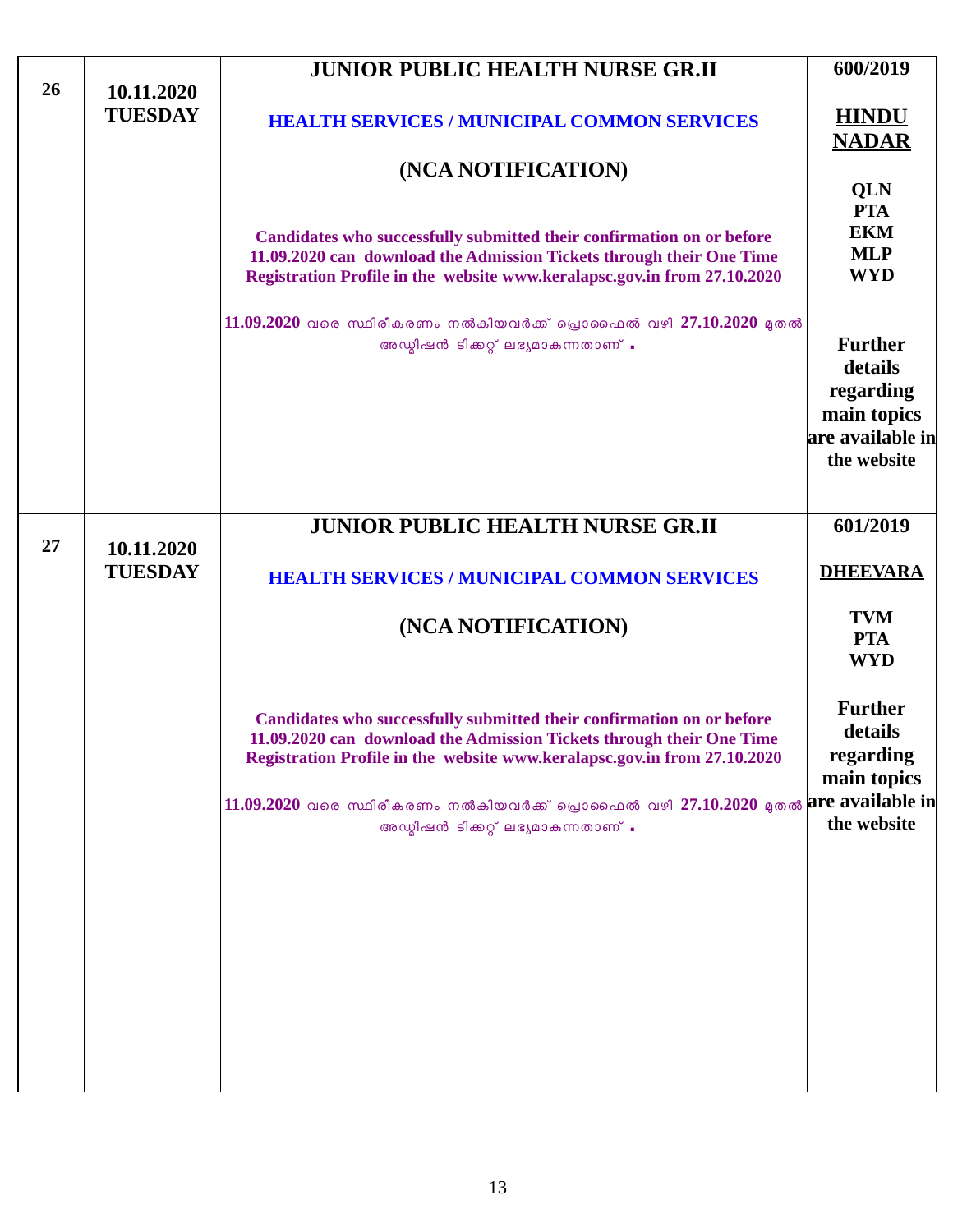| 26 | 10.11.2020                   | <b>JUNIOR PUBLIC HEALTH NURSE GR.II</b>                                                                                                                                                                                   | 600/2019                                              |
|----|------------------------------|---------------------------------------------------------------------------------------------------------------------------------------------------------------------------------------------------------------------------|-------------------------------------------------------|
|    | <b>TUESDAY</b>               | <b>HEALTH SERVICES / MUNICIPAL COMMON SERVICES</b>                                                                                                                                                                        | <b>HINDU</b><br><b>NADAR</b>                          |
|    |                              | (NCA NOTIFICATION)                                                                                                                                                                                                        |                                                       |
|    |                              |                                                                                                                                                                                                                           | QLN<br><b>PTA</b>                                     |
|    |                              | Candidates who successfully submitted their confirmation on or before<br>11.09.2020 can download the Admission Tickets through their One Time<br>Registration Profile in the website www.keralapsc.gov.in from 27.10.2020 | <b>EKM</b><br><b>MLP</b><br><b>WYD</b>                |
|    |                              | 11.09.2020 വരെ സ്ഥിരീകരണം നൽകിയവർക്ക് പ്രൊഫൈൽ വഴി 27.10.2020 മുതൽ                                                                                                                                                         |                                                       |
|    |                              | അഡ്മിഷൻ ടിക്കറ്റ് ലഭ്യമാകുന്നതാണ് .                                                                                                                                                                                       | <b>Further</b>                                        |
|    |                              |                                                                                                                                                                                                                           | details<br>regarding                                  |
|    |                              |                                                                                                                                                                                                                           | main topics                                           |
|    |                              |                                                                                                                                                                                                                           | are available in<br>the website                       |
|    |                              |                                                                                                                                                                                                                           |                                                       |
|    |                              | <b>JUNIOR PUBLIC HEALTH NURSE GR.II</b>                                                                                                                                                                                   | 601/2019                                              |
| 27 | 10.11.2020<br><b>TUESDAY</b> | <b>HEALTH SERVICES / MUNICIPAL COMMON SERVICES</b>                                                                                                                                                                        | <b>DHEEVARA</b>                                       |
|    |                              | (NCA NOTIFICATION)                                                                                                                                                                                                        | <b>TVM</b><br><b>PTA</b><br><b>WYD</b>                |
|    |                              | Candidates who successfully submitted their confirmation on or before<br>11.09.2020 can download the Admission Tickets through their One Time<br>Registration Profile in the website www.keralapsc.gov.in from 27.10.2020 | <b>Further</b><br>details<br>regarding<br>main topics |
|    |                              | $ 11.09.2020$ വരെ സ്ഥിരീകരണം നൽകിയവർക്ക് പ്രൊഫൈൽ വഴി 27.10.2020 മുതൽ $ {\bf arc ~available~ in} $<br>അഡ്മിഷൻ ടിക്കറ്റ് ലഭ്യമാകുന്നതാണ് .                                                                                  | the website                                           |
|    |                              |                                                                                                                                                                                                                           |                                                       |
|    |                              |                                                                                                                                                                                                                           |                                                       |
|    |                              |                                                                                                                                                                                                                           |                                                       |
|    |                              |                                                                                                                                                                                                                           |                                                       |
|    |                              |                                                                                                                                                                                                                           |                                                       |

 $\lfloor$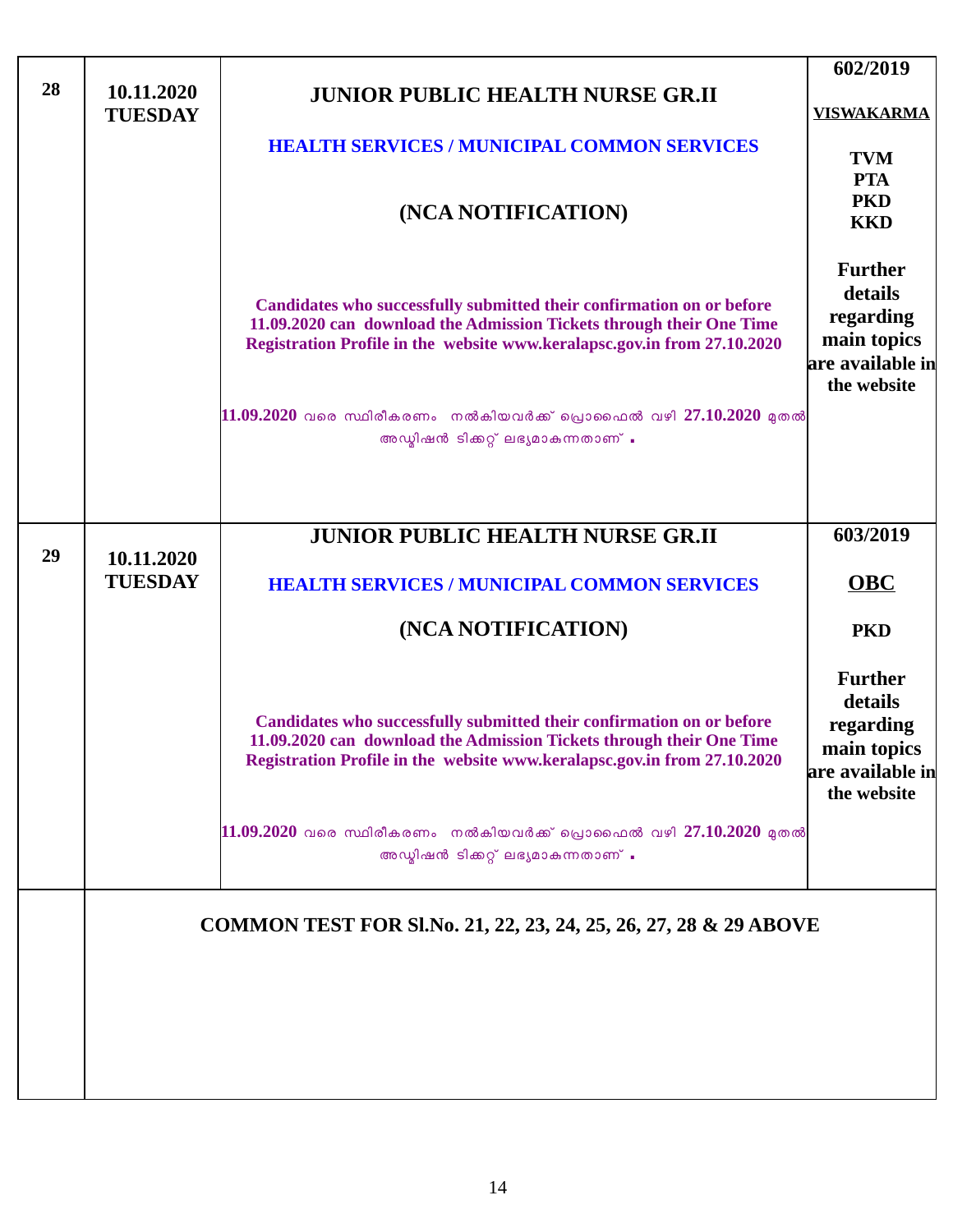|    |                              |                                                                                                                                                                                                                           | 602/2019                                                                                 |
|----|------------------------------|---------------------------------------------------------------------------------------------------------------------------------------------------------------------------------------------------------------------------|------------------------------------------------------------------------------------------|
| 28 | 10.11.2020<br><b>TUESDAY</b> | <b>JUNIOR PUBLIC HEALTH NURSE GR.II</b>                                                                                                                                                                                   | <b>VISWAKARMA</b>                                                                        |
|    |                              | <b>HEALTH SERVICES / MUNICIPAL COMMON SERVICES</b>                                                                                                                                                                        | <b>TVM</b><br><b>PTA</b>                                                                 |
|    |                              | (NCA NOTIFICATION)                                                                                                                                                                                                        | <b>PKD</b><br><b>KKD</b>                                                                 |
|    |                              | Candidates who successfully submitted their confirmation on or before<br>11.09.2020 can download the Admission Tickets through their One Time<br>Registration Profile in the website www.keralapsc.gov.in from 27.10.2020 | <b>Further</b><br>details<br>regarding<br>main topics<br>are available in<br>the website |
|    |                              | $11.09.2020$ വരെ സ്ഥിരീകരണം നൽകിയവർക്ക് പ്രൊഫൈൽ വഴി 27.10.2020 മുതൽ<br>അഡ്മിഷൻ ടിക്കറ്റ് ലഭ്യമാകുന്നതാണ് .                                                                                                                |                                                                                          |
|    |                              | <b>JUNIOR PUBLIC HEALTH NURSE GR.II</b>                                                                                                                                                                                   | 603/2019                                                                                 |
| 29 | 10.11.2020<br><b>TUESDAY</b> | <b>HEALTH SERVICES / MUNICIPAL COMMON SERVICES</b>                                                                                                                                                                        | OBC                                                                                      |
|    |                              | (NCA NOTIFICATION)                                                                                                                                                                                                        | <b>PKD</b>                                                                               |
|    |                              | Candidates who successfully submitted their confirmation on or before<br>11.09.2020 can download the Admission Tickets through their One Time<br>Registration Profile in the website www.keralapsc.gov.in from 27.10.2020 | <b>Further</b><br>details<br>regarding<br>main topics<br>are available in<br>the website |
|    |                              | $11.09.2020$ വരെ സ്ഥിരീകരണം നൽകിയവർക്ക് പ്രൊഫൈൽ വഴി 27.10.2020 മുതൽ<br>അഡ്മിഷൻ ടിക്കറ്റ് ലഭ്യമാകുന്നതാണ് .                                                                                                                |                                                                                          |
|    |                              | COMMON TEST FOR SI.No. 21, 22, 23, 24, 25, 26, 27, 28 & 29 ABOVE                                                                                                                                                          |                                                                                          |
|    |                              |                                                                                                                                                                                                                           |                                                                                          |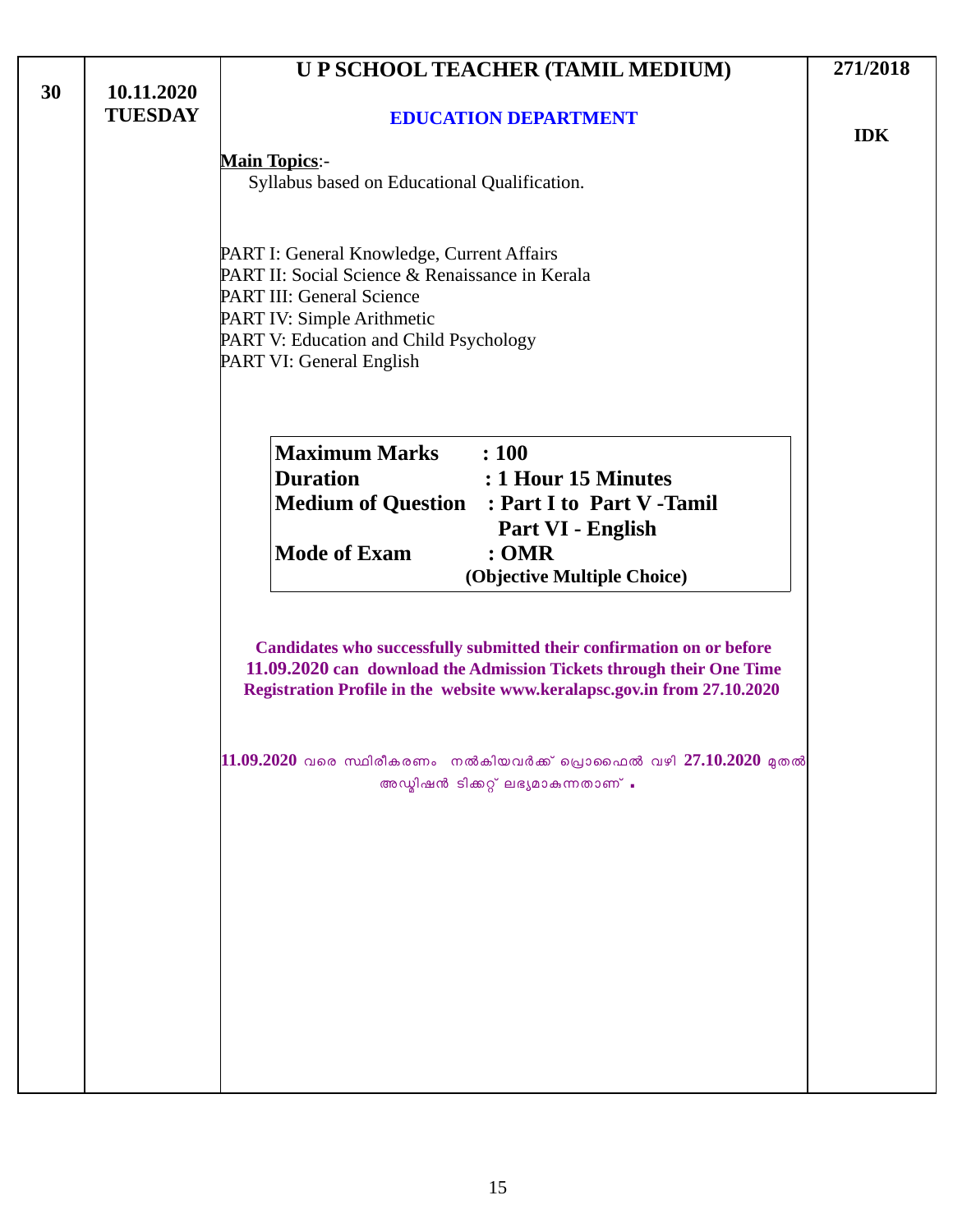|    |                              | U P SCHOOL TEACHER (TAMIL MEDIUM)                                                                                                                                                                                                     | 271/2018   |
|----|------------------------------|---------------------------------------------------------------------------------------------------------------------------------------------------------------------------------------------------------------------------------------|------------|
| 30 | 10.11.2020<br><b>TUESDAY</b> | <b>EDUCATION DEPARTMENT</b>                                                                                                                                                                                                           | <b>IDK</b> |
|    |                              | <b>Main Topics:-</b><br>Syllabus based on Educational Qualification.                                                                                                                                                                  |            |
|    |                              | PART I: General Knowledge, Current Affairs<br>PART II: Social Science & Renaissance in Kerala<br><b>PART III: General Science</b><br>PART IV: Simple Arithmetic<br>PART V: Education and Child Psychology<br>PART VI: General English |            |
|    |                              | <b>Maximum Marks</b><br>: 100<br><b>Duration</b><br>: 1 Hour 15 Minutes<br><b>Medium of Question : Part I to Part V-Tamil</b><br>Part VI - English<br><b>Mode of Exam</b><br>: <b>OMR</b><br>(Objective Multiple Choice)              |            |
|    |                              | Candidates who successfully submitted their confirmation on or before<br>11.09.2020 can download the Admission Tickets through their One Time<br>Registration Profile in the website www.keralapsc.gov.in from 27.10.2020             |            |
|    |                              | $11.09.2020$ വരെ സ്ഥിരീകരണം നൽകിയവർക്ക് പ്രൊഫൈൽ വഴി $27.10.2020$ മുതൽ<br>അഡ്മിഷൻ ടിക്കറ്റ് ലഭ്യമാകുന്നതാണ് .                                                                                                                          |            |
|    |                              |                                                                                                                                                                                                                                       |            |
|    |                              |                                                                                                                                                                                                                                       |            |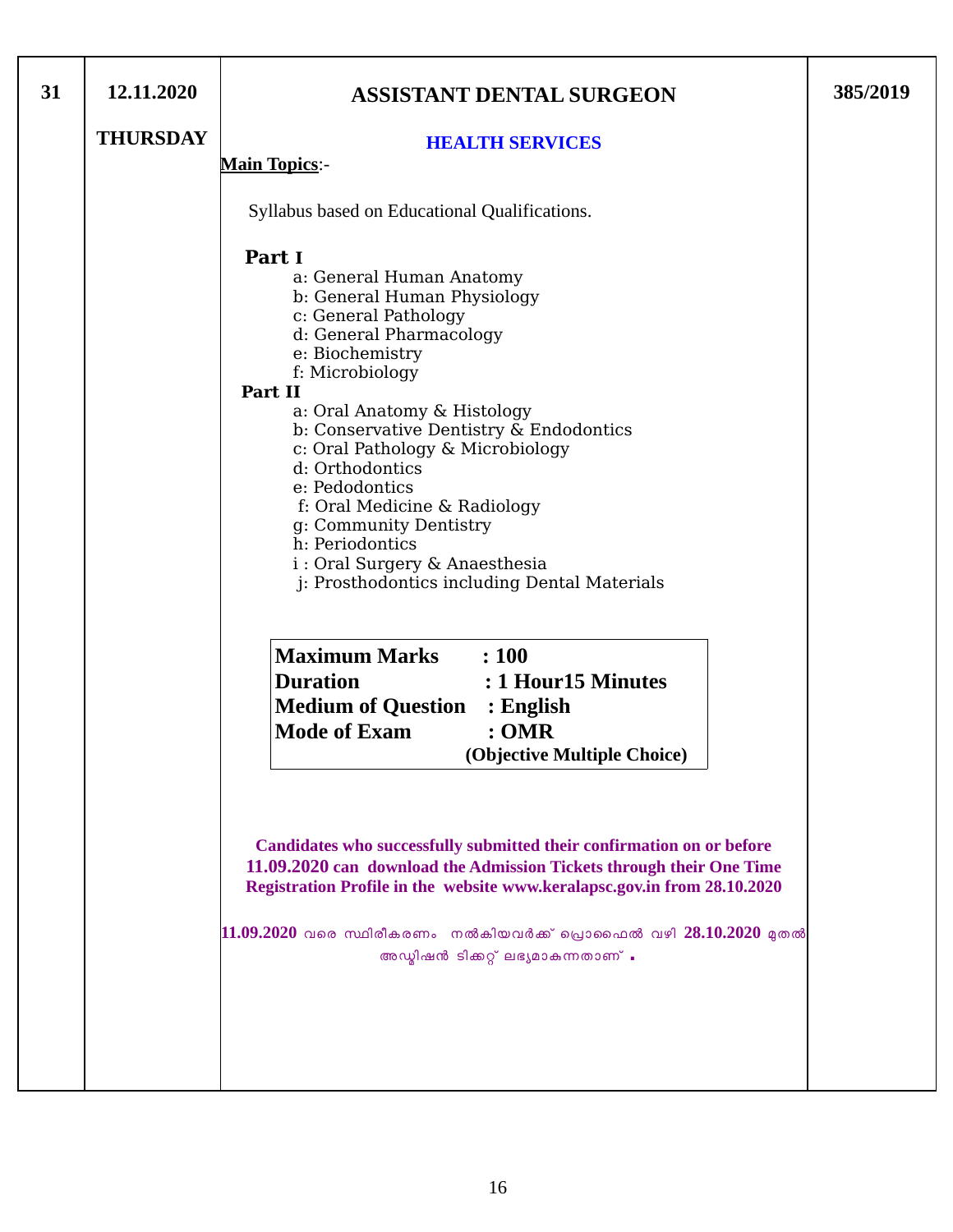| 31 | 12.11.2020      | <b>ASSISTANT DENTAL SURGEON</b>                                                                                                                                                                                                                                                                                                                                                                                                                                                         | 385/2019 |
|----|-----------------|-----------------------------------------------------------------------------------------------------------------------------------------------------------------------------------------------------------------------------------------------------------------------------------------------------------------------------------------------------------------------------------------------------------------------------------------------------------------------------------------|----------|
|    | <b>THURSDAY</b> | <b>HEALTH SERVICES</b>                                                                                                                                                                                                                                                                                                                                                                                                                                                                  |          |
|    |                 | <b>Main Topics:-</b>                                                                                                                                                                                                                                                                                                                                                                                                                                                                    |          |
|    |                 | Syllabus based on Educational Qualifications.                                                                                                                                                                                                                                                                                                                                                                                                                                           |          |
|    |                 | Part I<br>a: General Human Anatomy<br>b: General Human Physiology<br>c: General Pathology<br>d: General Pharmacology<br>e: Biochemistry<br>f: Microbiology<br>Part II<br>a: Oral Anatomy & Histology<br>b: Conservative Dentistry & Endodontics<br>c: Oral Pathology & Microbiology<br>d: Orthodontics<br>e: Pedodontics<br>f: Oral Medicine & Radiology<br>g: Community Dentistry<br>h: Periodontics<br>i : Oral Surgery & Anaesthesia<br>j: Prosthodontics including Dental Materials |          |
|    |                 | <b>Maximum Marks</b><br>$\therefore 100$<br><b>Duration</b><br>: 1 Hour15 Minutes<br><b>Medium of Question : English</b><br><b>Mode of Exam</b><br>: <b>OMR</b><br>(Objective Multiple Choice)                                                                                                                                                                                                                                                                                          |          |
|    |                 | Candidates who successfully submitted their confirmation on or before<br>11.09.2020 can download the Admission Tickets through their One Time<br>Registration Profile in the website www.keralapsc.gov.in from 28.10.2020<br>$11.09.2020$ വരെ സ്ഥിരീകരണം നൽകിയവർക്ക് പ്രൊഫൈൽ വഴി $28.10.2020$ മുതൽ<br>അഡ്മിഷൻ ടിക്കറ്റ് ലഭ്യമാകുന്നതാണ് .                                                                                                                                               |          |
|    |                 |                                                                                                                                                                                                                                                                                                                                                                                                                                                                                         |          |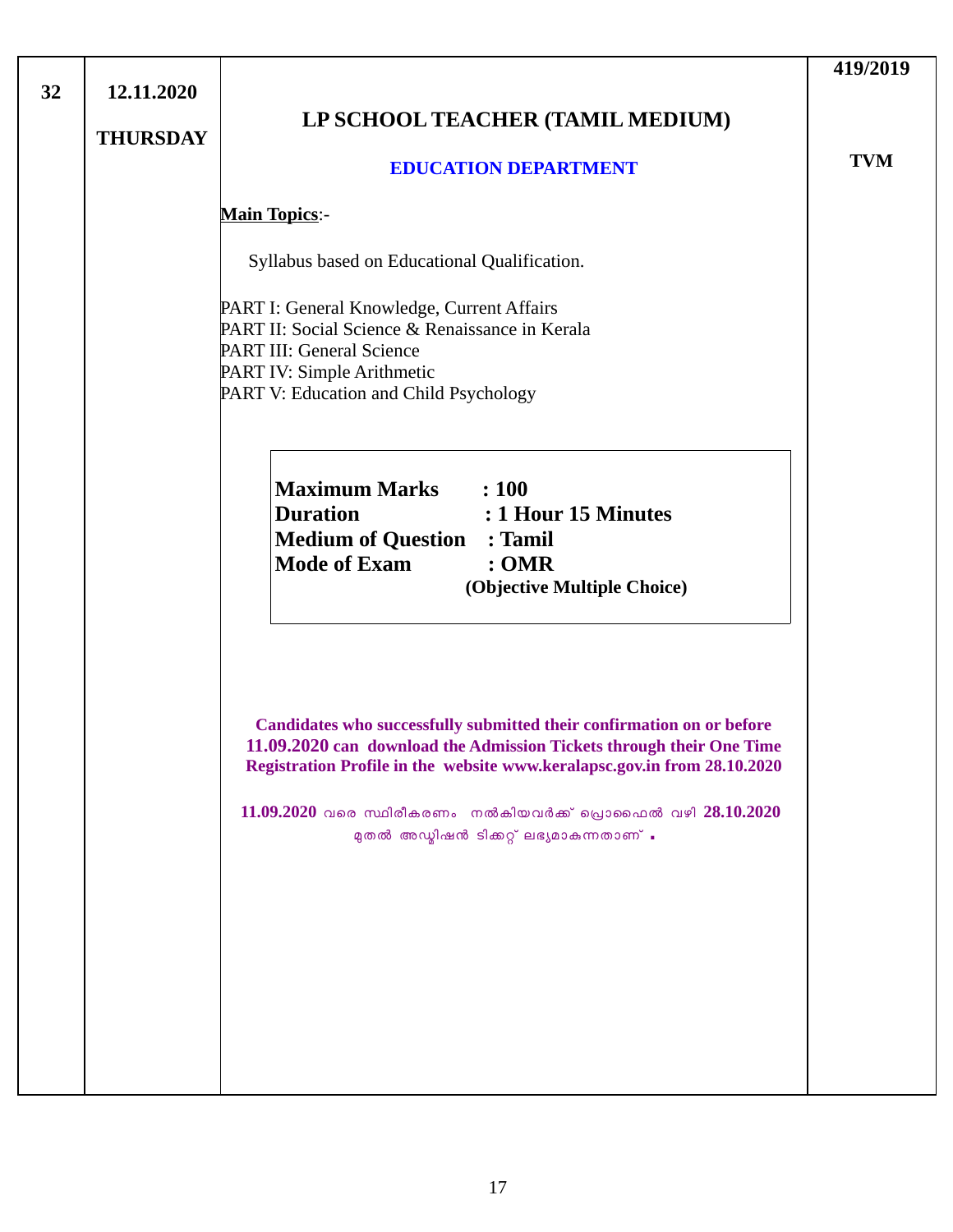|                                                                                                                                                                                                                                                                                                                                           | 419/2019   |
|-------------------------------------------------------------------------------------------------------------------------------------------------------------------------------------------------------------------------------------------------------------------------------------------------------------------------------------------|------------|
| LP SCHOOL TEACHER (TAMIL MEDIUM)                                                                                                                                                                                                                                                                                                          |            |
| <b>EDUCATION DEPARTMENT</b>                                                                                                                                                                                                                                                                                                               | <b>TVM</b> |
| <b>Main Topics:-</b>                                                                                                                                                                                                                                                                                                                      |            |
| Syllabus based on Educational Qualification.                                                                                                                                                                                                                                                                                              |            |
| PART I: General Knowledge, Current Affairs<br>PART II: Social Science & Renaissance in Kerala<br>PART III: General Science<br>PART IV: Simple Arithmetic<br>PART V: Education and Child Psychology                                                                                                                                        |            |
| <b>Maximum Marks</b> : 100<br><b>Duration</b><br>: 1 Hour 15 Minutes<br><b>Medium of Question : Tamil</b><br><b>Mode of Exam</b><br>: <b>OMR</b><br>(Objective Multiple Choice)                                                                                                                                                           |            |
| Candidates who successfully submitted their confirmation on or before<br>11.09.2020 can download the Admission Tickets through their One Time<br>Registration Profile in the website www.keralapsc.gov.in from 28.10.2020<br>$11.09.2020$ വരെ സ്ഥിരീകരണം നൽകിയവർക്ക് പ്രൊഫൈൽ വഴി $28.10.2020$<br>മുതൽ അഡ്മിഷൻ ടിക്കറ്റ് ലഭ്യമാകുന്നതാണ് . |            |
| 12.11.2020<br><b>THURSDAY</b>                                                                                                                                                                                                                                                                                                             |            |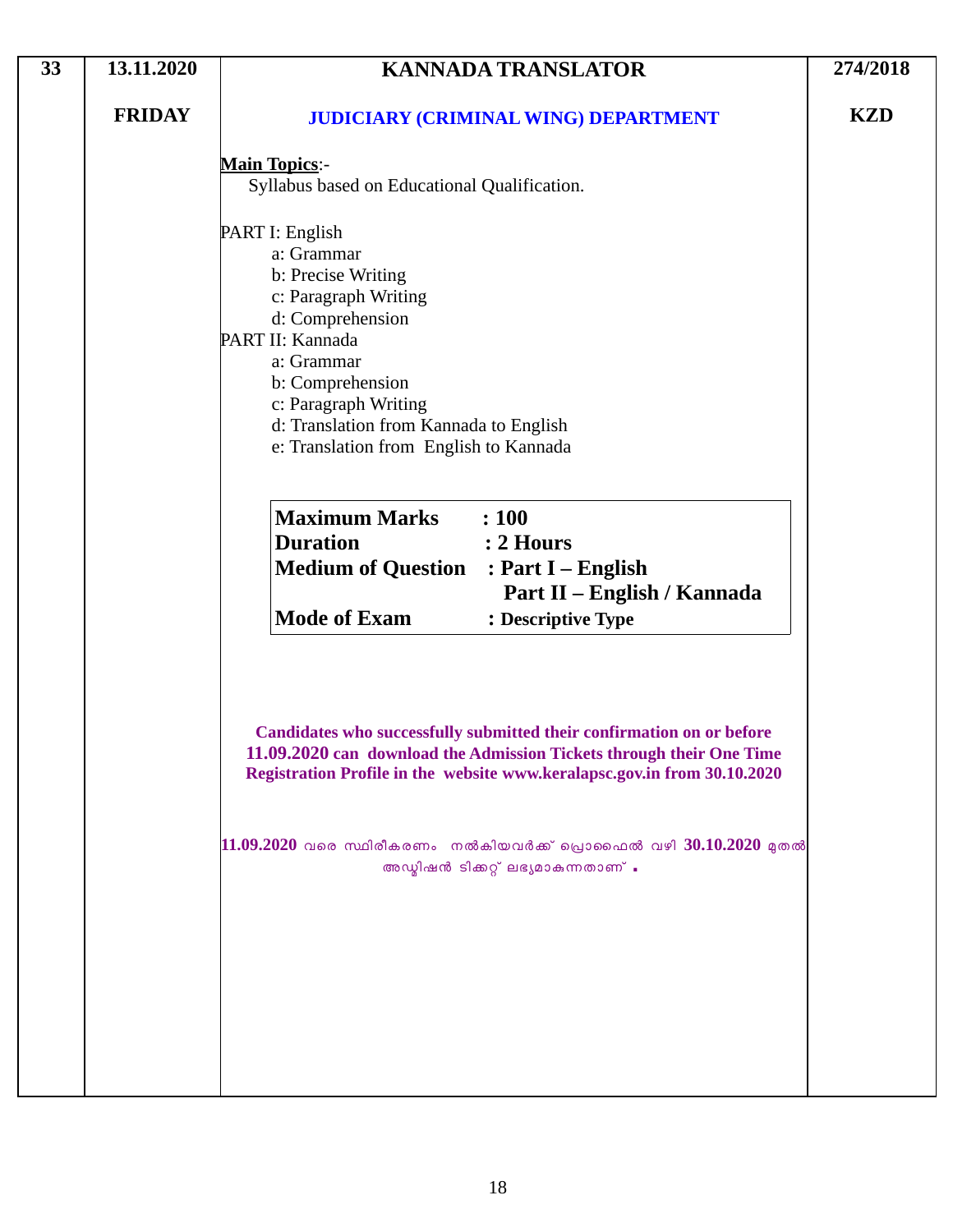| 33 | 13.11.2020    | <b>KANNADA TRANSLATOR</b>                                                                                                                                                                                                                                                                                                                 | 274/2018   |
|----|---------------|-------------------------------------------------------------------------------------------------------------------------------------------------------------------------------------------------------------------------------------------------------------------------------------------------------------------------------------------|------------|
|    | <b>FRIDAY</b> | <b>JUDICIARY (CRIMINAL WING) DEPARTMENT</b>                                                                                                                                                                                                                                                                                               | <b>KZD</b> |
|    |               | <b>Main Topics:-</b><br>Syllabus based on Educational Qualification.                                                                                                                                                                                                                                                                      |            |
|    |               | PART I: English<br>a: Grammar<br>b: Precise Writing<br>c: Paragraph Writing<br>d: Comprehension<br>PART II: Kannada<br>a: Grammar<br>b: Comprehension<br>c: Paragraph Writing<br>d: Translation from Kannada to English<br>e: Translation from English to Kannada                                                                         |            |
|    |               | <b>Maximum Marks</b><br>: 100<br><b>Duration</b><br>: 2 Hours<br><b>Medium of Question : Part I - English</b><br>Part II - English / Kannada<br><b>Mode of Exam</b><br>: Descriptive Type                                                                                                                                                 |            |
|    |               | Candidates who successfully submitted their confirmation on or before<br>11.09.2020 can download the Admission Tickets through their One Time<br>Registration Profile in the website www.keralapsc.gov.in from 30.10.2020<br>$11.09.2020$ വരെ സ്ഥിരീകരണം നൽകിയവർക്ക് പ്രൊഫൈൽ വഴി $30.10.2020$ മുതൽ<br>അഡ്മിഷൻ ടിക്കറ്റ് ലഭ്യമാകുന്നതാണ് . |            |
|    |               |                                                                                                                                                                                                                                                                                                                                           |            |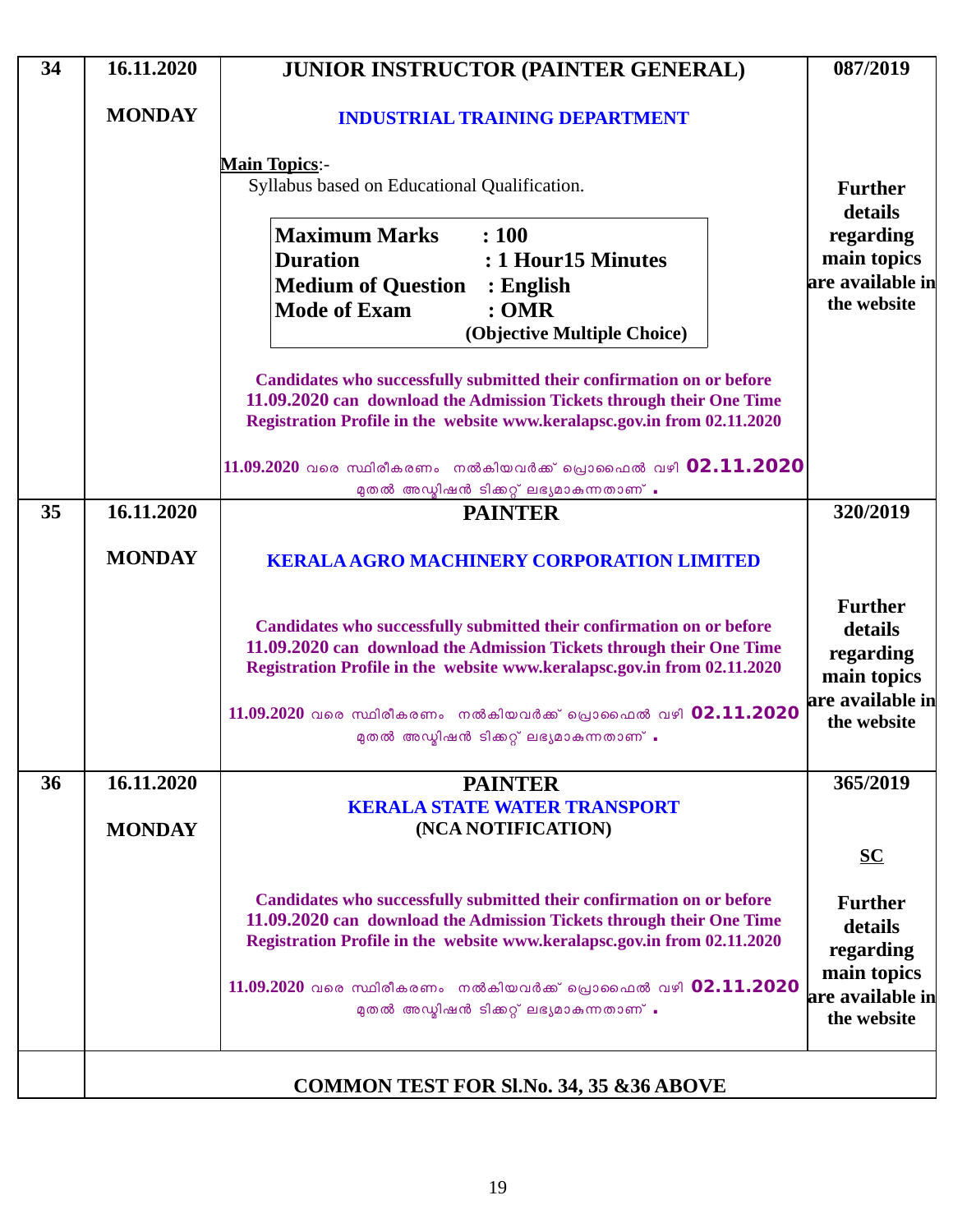| 34 | 16.11.2020                  | <b>JUNIOR INSTRUCTOR (PAINTER GENERAL)</b>                                                                                                                                                                                                                                                    | 087/2019                                                               |
|----|-----------------------------|-----------------------------------------------------------------------------------------------------------------------------------------------------------------------------------------------------------------------------------------------------------------------------------------------|------------------------------------------------------------------------|
|    | <b>MONDAY</b>               | <b>INDUSTRIAL TRAINING DEPARTMENT</b>                                                                                                                                                                                                                                                         |                                                                        |
|    |                             | <b>Main Topics:-</b><br>Syllabus based on Educational Qualification.                                                                                                                                                                                                                          | <b>Further</b>                                                         |
|    |                             | <b>Maximum Marks</b><br>: 100<br><b>Duration</b><br>: 1 Hour15 Minutes<br><b>Medium of Question</b><br>$:$ English<br><b>Mode of Exam</b><br>:OMR<br>(Objective Multiple Choice)                                                                                                              | details<br>regarding<br>main topics<br>are available in<br>the website |
|    |                             | Candidates who successfully submitted their confirmation on or before<br>11.09.2020 can download the Admission Tickets through their One Time<br>Registration Profile in the website www.keralapsc.gov.in from 02.11.2020<br>$11.09.2020$ വരെ സ്ഥിരീകരണം നൽകിയവർക്ക് പ്രൊഫൈൽ വഴി $02.11.2020$ |                                                                        |
| 35 | 16.11.2020                  | മുതൽ അഡ്മിഷൻ ടിക്കറ്റ് ലഭ്യമാകുന്നതാണ് .<br><b>PAINTER</b>                                                                                                                                                                                                                                    | 320/2019                                                               |
|    | <b>MONDAY</b>               | <b>KERALA AGRO MACHINERY CORPORATION LIMITED</b>                                                                                                                                                                                                                                              |                                                                        |
|    |                             | Candidates who successfully submitted their confirmation on or before<br>11.09.2020 can download the Admission Tickets through their One Time<br>Registration Profile in the website www.keralapsc.gov.in from 02.11.2020                                                                     | <b>Further</b><br>details<br>regarding<br>main topics                  |
|    |                             | $11.09.2020$ വരെ സ്ഥിരീകരണം നൽകിയവർക്ക് പ്രൊഫൈൽ വഴി 02.11.2020<br>മുതൽ അഡ്മിഷൻ ടിക്കറ്റ് ലഭ്യമാകുന്നതാണ് .                                                                                                                                                                                    | are available in<br>the website                                        |
| 36 | 16.11.2020<br><b>MONDAY</b> | <b>PAINTER</b><br><b>KERALA STATE WATER TRANSPORT</b><br>(NCA NOTIFICATION)                                                                                                                                                                                                                   | 365/2019                                                               |
|    |                             |                                                                                                                                                                                                                                                                                               | $SC$                                                                   |
|    |                             | Candidates who successfully submitted their confirmation on or before<br>11.09.2020 can download the Admission Tickets through their One Time<br>Registration Profile in the website www.keralapsc.gov.in from 02.11.2020                                                                     | <b>Further</b><br>details<br>regarding                                 |
|    |                             | 11.09.2020 വരെ സ്ഥിരീകരണം നൽകിയവർക്ക് പ്രൊഫൈൽ വഴി 02.11.2020<br>മുതൽ അഡ്മിഷൻ ടിക്കറ്റ് ലഭ്യമാകുന്നതാണ് .                                                                                                                                                                                      | main topics<br>are available in<br>the website                         |
|    |                             | <b>COMMON TEST FOR SI.No. 34, 35 &amp; 36 ABOVE</b>                                                                                                                                                                                                                                           |                                                                        |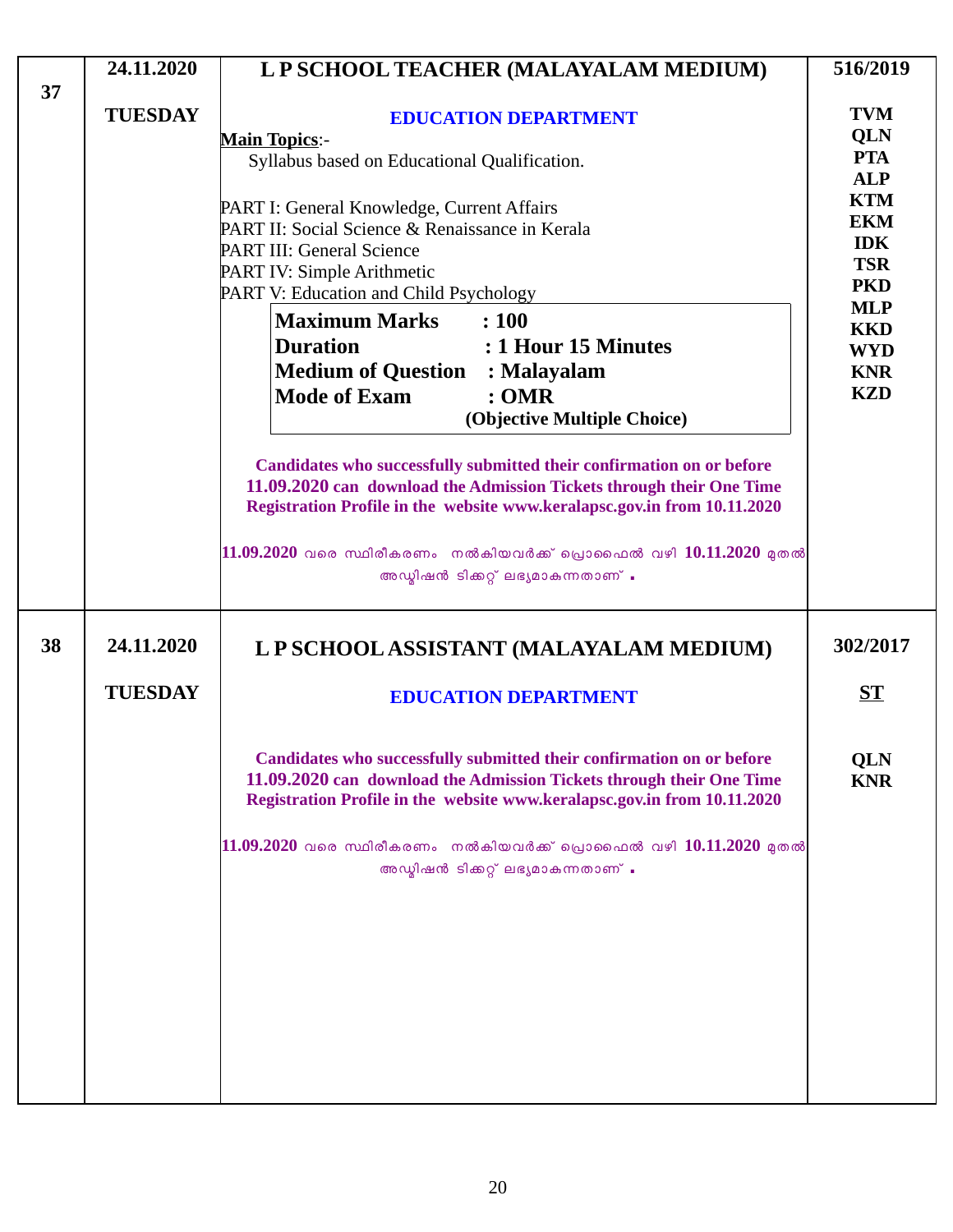|    | 24.11.2020     | L P SCHOOL TEACHER (MALAYALAM MEDIUM)                                                                                                                                                                                                                                                                                                       | 516/2019                                                                                                     |
|----|----------------|---------------------------------------------------------------------------------------------------------------------------------------------------------------------------------------------------------------------------------------------------------------------------------------------------------------------------------------------|--------------------------------------------------------------------------------------------------------------|
| 37 | <b>TUESDAY</b> | <b>EDUCATION DEPARTMENT</b><br><b>Main Topics:-</b><br>Syllabus based on Educational Qualification.<br>PART I: General Knowledge, Current Affairs<br>PART II: Social Science & Renaissance in Kerala                                                                                                                                        | <b>TVM</b><br>QLN<br><b>PTA</b><br><b>ALP</b><br><b>KTM</b><br><b>EKM</b>                                    |
|    |                | <b>PART III: General Science</b><br>PART IV: Simple Arithmetic<br>PART V: Education and Child Psychology<br><b>Maximum Marks</b><br>: 100<br><b>Duration</b><br>: 1 Hour 15 Minutes<br><b>Medium of Question</b><br>: Malayalam<br><b>Mode of Exam</b><br>: <b>OMR</b><br>(Objective Multiple Choice)                                       | <b>IDK</b><br><b>TSR</b><br><b>PKD</b><br><b>MLP</b><br><b>KKD</b><br><b>WYD</b><br><b>KNR</b><br><b>KZD</b> |
|    |                | Candidates who successfully submitted their confirmation on or before<br>11.09.2020 can download the Admission Tickets through their One Time<br>Registration Profile in the website www.keralapsc.gov.in from 10.11.2020<br>$11.09.2020$ വരെ സ്ഥിരീകരണം നൽകിയവർക്ക് പ്രൊഫൈൽ വഴി $10.11.2020$ മുതൽ<br>അഡ്മിഷൻ ടിക്കറ്റ് ലഭ്യമാകുന്നതാണ് .   |                                                                                                              |
| 38 | 24.11.2020     | L P SCHOOL ASSISTANT (MALAYALAM MEDIUM)                                                                                                                                                                                                                                                                                                     | 302/2017                                                                                                     |
|    | <b>TUESDAY</b> | <b>EDUCATION DEPARTMENT</b>                                                                                                                                                                                                                                                                                                                 | <b>ST</b>                                                                                                    |
|    |                | Candidates who successfully submitted their confirmation on or before<br>11.09.2020 can download the Admission Tickets through their One Time<br>Registration Profile in the website www.keralapsc.gov.in from 10.11.2020<br>$ 11.09.2020$ വരെ സ്ഥിരീകരണം  നൽകിയവർക്ക് പ്രൊഫൈൽ വഴി $10.11.2020$ മുതൽ<br>അഡ്മിഷൻ ടിക്കറ്റ് ലഭ്യമാകുന്നതാണ് . | QLN<br><b>KNR</b>                                                                                            |
|    |                |                                                                                                                                                                                                                                                                                                                                             |                                                                                                              |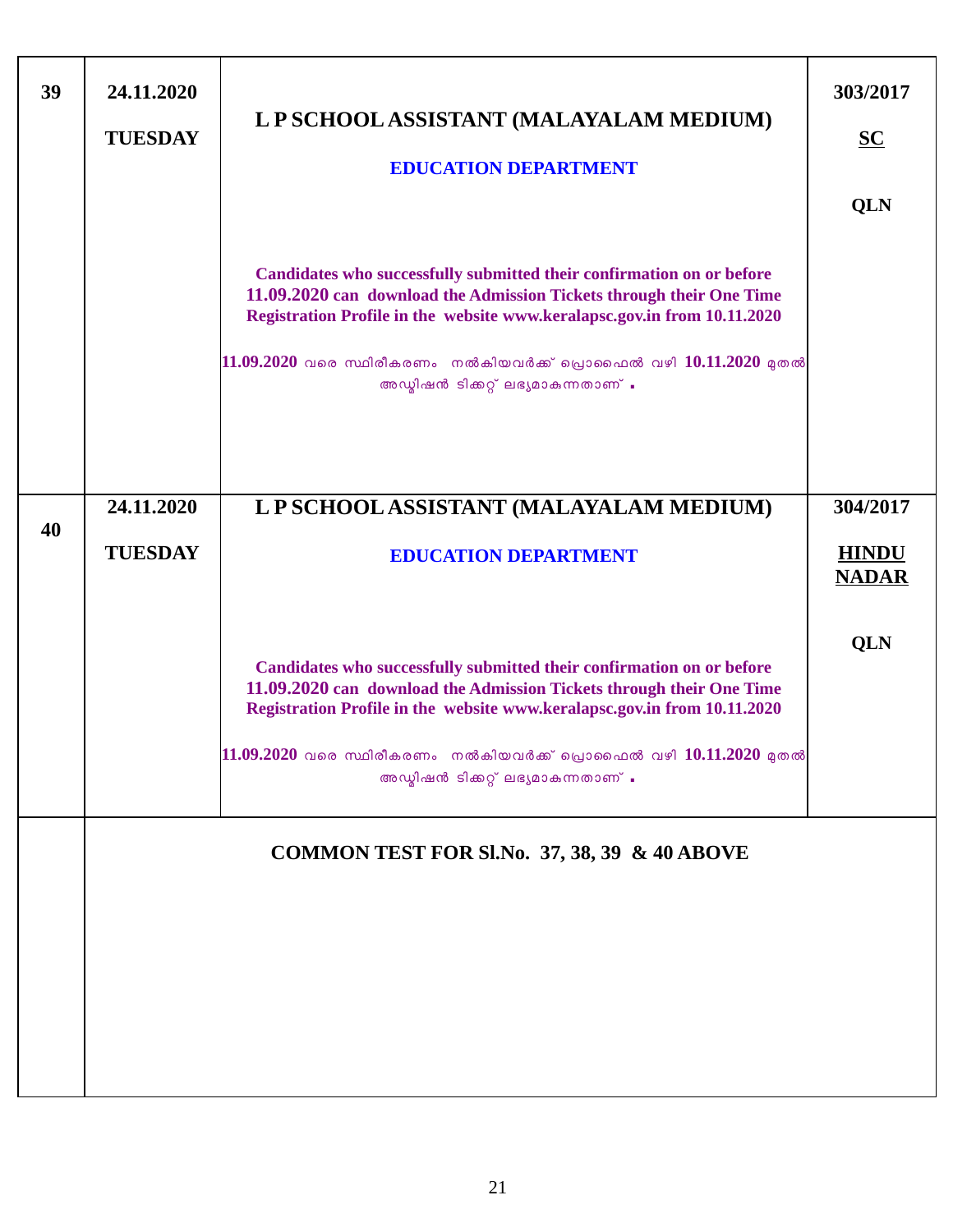| 39 | 24.11.2020<br><b>TUESDAY</b> | L P SCHOOL ASSISTANT (MALAYALAM MEDIUM)<br><b>EDUCATION DEPARTMENT</b><br>Candidates who successfully submitted their confirmation on or before<br>11.09.2020 can download the Admission Tickets through their One Time<br>Registration Profile in the website www.keralapsc.gov.in from 10.11.2020<br>$11.09.2020$ വരെ സ്ഥിരീകരണം നൽകിയവർക്ക് പ്രൊഫൈൽ വഴി $10.11.2020$ മുതൽ | 303/2017<br>$S$<br>QLN                   |
|----|------------------------------|------------------------------------------------------------------------------------------------------------------------------------------------------------------------------------------------------------------------------------------------------------------------------------------------------------------------------------------------------------------------------|------------------------------------------|
| 40 | 24.11.2020<br><b>TUESDAY</b> | അഡ്മിഷൻ ടിക്കറ്റ് ലഭ്യമാകുന്നതാണ് .<br>L P SCHOOL ASSISTANT (MALAYALAM MEDIUM)<br><b>EDUCATION DEPARTMENT</b>                                                                                                                                                                                                                                                                | 304/2017<br><b>HINDU</b><br><b>NADAR</b> |
|    |                              | Candidates who successfully submitted their confirmation on or before<br>11.09.2020 can download the Admission Tickets through their One Time<br>Registration Profile in the website www.keralapsc.gov.in from 10.11.2020<br>$11.09.2020$ വരെ സ്ഥിരീകരണം നൽകിയവർക്ക് പ്രൊഫൈൽ വഴി $10.11.2020$ മുതൽ<br>അഡ്മിഷൻ ടിക്കറ്റ് ലഭ്യമാകുന്നതാണ് .                                    | <b>QLN</b>                               |
|    |                              | COMMON TEST FOR SI.No. 37, 38, 39 & 40 ABOVE                                                                                                                                                                                                                                                                                                                                 |                                          |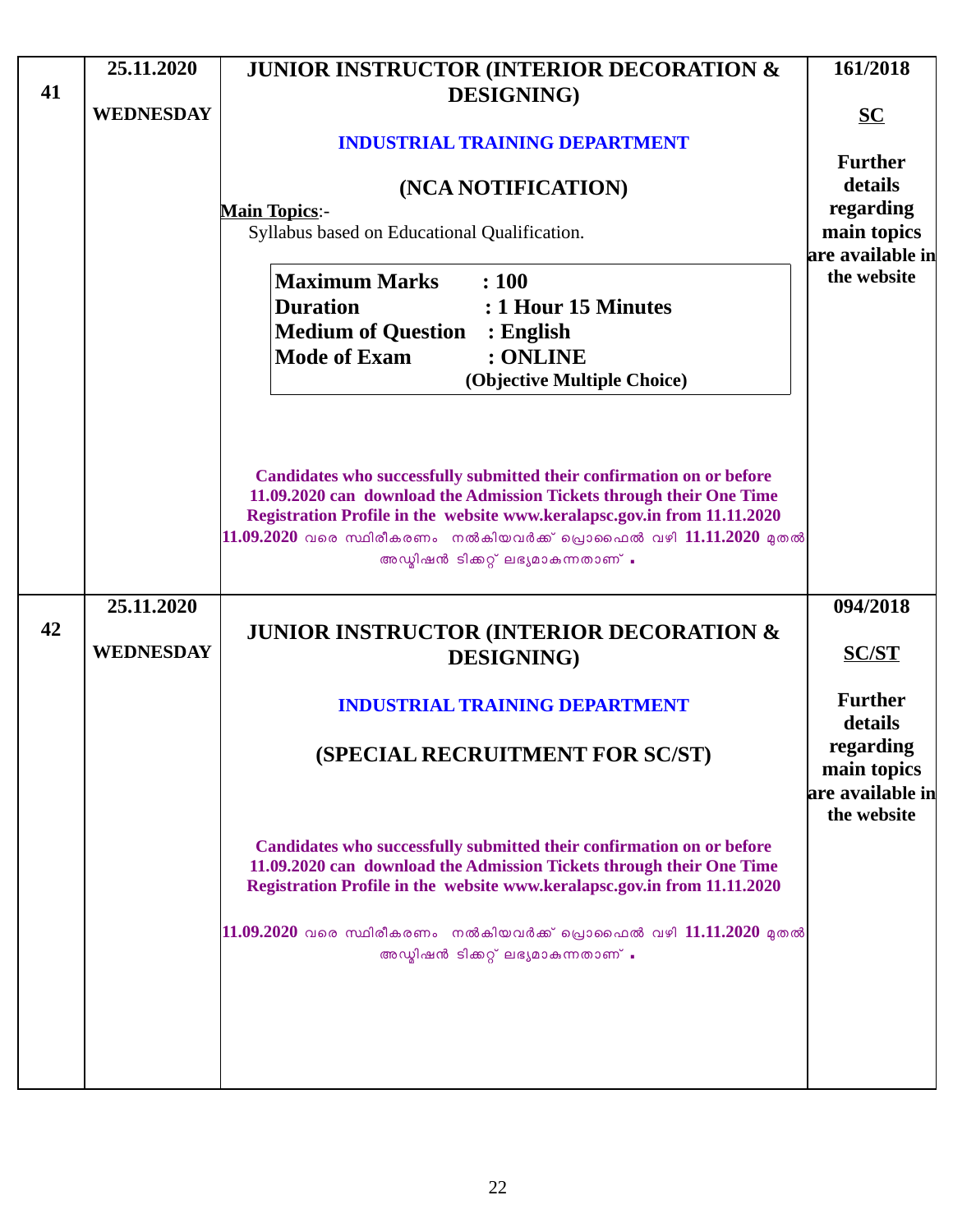|    | 25.11.2020       | <b>JUNIOR INSTRUCTOR (INTERIOR DECORATION &amp;</b>                                                                                              | 161/2018                        |
|----|------------------|--------------------------------------------------------------------------------------------------------------------------------------------------|---------------------------------|
| 41 | <b>WEDNESDAY</b> | <b>DESIGNING</b> )                                                                                                                               |                                 |
|    |                  |                                                                                                                                                  | $SC$                            |
|    |                  | <b>INDUSTRIAL TRAINING DEPARTMENT</b>                                                                                                            | <b>Further</b>                  |
|    |                  | (NCA NOTIFICATION)                                                                                                                               | details                         |
|    |                  | <b>Main Topics:-</b>                                                                                                                             | regarding                       |
|    |                  | Syllabus based on Educational Qualification.                                                                                                     | main topics<br>are available in |
|    |                  | <b>Maximum Marks</b><br>: 100                                                                                                                    | the website                     |
|    |                  | <b>Duration</b><br>: 1 Hour 15 Minutes                                                                                                           |                                 |
|    |                  | <b>Medium of Question</b><br>$:$ English                                                                                                         |                                 |
|    |                  | <b>Mode of Exam</b><br>: ONLINE                                                                                                                  |                                 |
|    |                  | (Objective Multiple Choice)                                                                                                                      |                                 |
|    |                  |                                                                                                                                                  |                                 |
|    |                  |                                                                                                                                                  |                                 |
|    |                  |                                                                                                                                                  |                                 |
|    |                  | Candidates who successfully submitted their confirmation on or before<br>11.09.2020 can download the Admission Tickets through their One Time    |                                 |
|    |                  | Registration Profile in the website www.keralapsc.gov.in from 11.11.2020                                                                         |                                 |
|    |                  | $11.09.2020$ വരെ സ്ഥിരീകരണം നൽകിയവർക്ക് പ്രൊഫൈൽ വഴി $11.11.2020$ മുതൽ<br>അഡ്മിഷൻ ടിക്കറ്റ് ലഭ്യമാകുന്നതാണ് .                                     |                                 |
|    |                  |                                                                                                                                                  |                                 |
|    | 25.11.2020       |                                                                                                                                                  | 094/2018                        |
| 42 |                  | <b>JUNIOR INSTRUCTOR (INTERIOR DECORATION &amp;</b>                                                                                              |                                 |
|    | <b>WEDNESDAY</b> | <b>DESIGNING</b> )                                                                                                                               | <b>SC/ST</b>                    |
|    |                  |                                                                                                                                                  | <b>Further</b>                  |
|    |                  | <b>INDUSTRIAL TRAINING DEPARTMENT</b>                                                                                                            | details                         |
|    |                  | (SPECIAL RECRUITMENT FOR SC/ST)                                                                                                                  | regarding                       |
|    |                  |                                                                                                                                                  | main topics                     |
|    |                  |                                                                                                                                                  | are available in                |
|    |                  |                                                                                                                                                  | the website                     |
|    |                  | Candidates who successfully submitted their confirmation on or before                                                                            |                                 |
|    |                  | 11.09.2020 can download the Admission Tickets through their One Time<br>Registration Profile in the website www.keralapsc.gov.in from 11.11.2020 |                                 |
|    |                  |                                                                                                                                                  |                                 |
|    |                  | $\ket{11.09.2020}$ വരെ സ്ഥിരീകരണം നൽകിയവർക്ക് പ്രൊഫൈൽ വഴി $11.11.2020$ മുതൽ                                                                      |                                 |
|    |                  | അഡ്മിഷൻ ടിക്കറ്റ് ലഭ്യമാകുന്നതാണ് .                                                                                                              |                                 |
|    |                  |                                                                                                                                                  |                                 |
|    |                  |                                                                                                                                                  |                                 |
|    |                  |                                                                                                                                                  |                                 |
|    |                  |                                                                                                                                                  |                                 |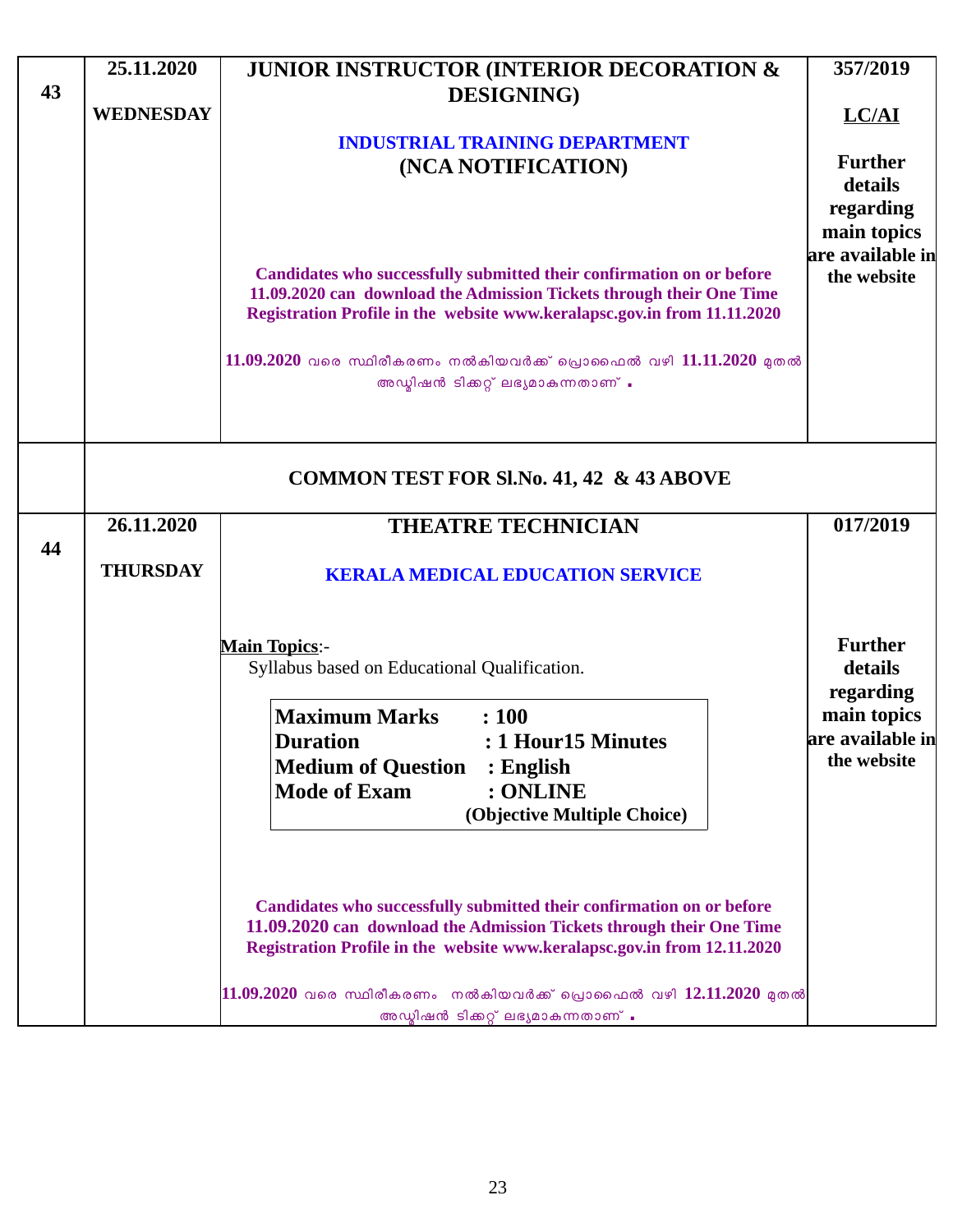|    | 25.11.2020       | <b>JUNIOR INSTRUCTOR (INTERIOR DECORATION &amp;</b>                                                                                                                                                                       | 357/2019                               |
|----|------------------|---------------------------------------------------------------------------------------------------------------------------------------------------------------------------------------------------------------------------|----------------------------------------|
| 43 |                  | <b>DESIGNING</b> )                                                                                                                                                                                                        |                                        |
|    | <b>WEDNESDAY</b> |                                                                                                                                                                                                                           | LC/AI                                  |
|    |                  | <b>INDUSTRIAL TRAINING DEPARTMENT</b>                                                                                                                                                                                     | <b>Further</b>                         |
|    |                  | (NCA NOTIFICATION)                                                                                                                                                                                                        | details                                |
|    |                  |                                                                                                                                                                                                                           | regarding                              |
|    |                  |                                                                                                                                                                                                                           | main topics                            |
|    |                  |                                                                                                                                                                                                                           | are available in                       |
|    |                  | Candidates who successfully submitted their confirmation on or before<br>11.09.2020 can download the Admission Tickets through their One Time<br>Registration Profile in the website www.keralapsc.gov.in from 11.11.2020 | the website                            |
|    |                  | $11.09.2020$ വരെ സ്ഥിരീകരണം നൽകിയവർക്ക് പ്രൊഫൈൽ വഴി $11.11.2020$ മുതൽ<br>അഡ്മിഷൻ ടിക്കറ്റ് ലഭ്യമാകുന്നതാണ് .                                                                                                              |                                        |
|    |                  | <b>COMMON TEST FOR SI.No. 41, 42 &amp; 43 ABOVE</b>                                                                                                                                                                       |                                        |
|    | 26.11.2020       | <b>THEATRE TECHNICIAN</b>                                                                                                                                                                                                 | 017/2019                               |
| 44 | <b>THURSDAY</b>  | <b>KERALA MEDICAL EDUCATION SERVICE</b>                                                                                                                                                                                   |                                        |
|    |                  | <b>Main Topics:-</b><br>Syllabus based on Educational Qualification.                                                                                                                                                      | <b>Further</b><br>details<br>regarding |
|    |                  | <b>Maximum Marks</b><br>: 100                                                                                                                                                                                             | main topics                            |
|    |                  | <b>Duration</b><br>: 1 Hour15 Minutes                                                                                                                                                                                     | are available in                       |
|    |                  | <b>Medium of Question</b><br>$:$ English                                                                                                                                                                                  | the website                            |
|    |                  | <b>Mode of Exam</b><br>: ONLINE                                                                                                                                                                                           |                                        |
|    |                  | (Objective Multiple Choice)                                                                                                                                                                                               |                                        |
|    |                  | Candidates who successfully submitted their confirmation on or before<br>11.09.2020 can download the Admission Tickets through their One Time                                                                             |                                        |
|    |                  | Registration Profile in the website www.keralapsc.gov.in from 12.11.2020                                                                                                                                                  |                                        |
|    |                  | $11.09.2020$ വരെ സ്ഥിരീകരണം  നൽകിയവർക്ക് പ്രൊഫൈൽ വഴി $12.11.2020$ മുതൽ<br>അഡ്മിഷൻ ടിക്കറ്റ് ലഭ്യമാകുന്നതാണ് .                                                                                                             |                                        |